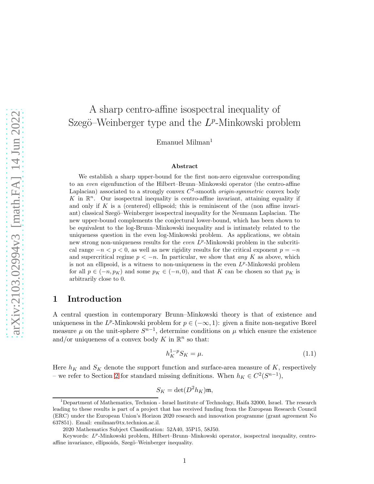# A sharp centro-affine isospectral inequality of Szegö–Weinberger type and the  $L^p$ -Minkowski problem

Emanuel Milman<sup>1</sup>

#### Abstract

We establish a sharp upper-bound for the first non-zero eigenvalue corresponding to an even eigenfunction of the Hilbert–Brunn–Minkowski operator (the centro-affine Laplacian) associated to a strongly convex  $C^2$ -smooth *origin-symmetric* convex body K in  $\mathbb{R}^n$ . Our isospectral inequality is centro-affine invariant, attaining equality if and only if  $K$  is a (centered) ellipsoid; this is reminiscent of the (non affine invariant) classical Szegö–Weinberger isospectral inequality for the Neumann Laplacian. The new upper-bound complements the conjectural lower-bound, which has been shown to be equivalent to the log-Brunn–Minkowski inequality and is intimately related to the uniqueness question in the even log-Minkowski problem. As applications, we obtain new strong non-uniqueness results for the *even L<sup>p</sup>*-Minkowski problem in the subcritical range  $-n < p < 0$ , as well as new rigidity results for the critical exponent  $p = -n$ and supercritical regime  $p < -n$ . In particular, we show that any K as above, which is not an ellipsoid, is a witness to non-uniqueness in the even  $L^p$ -Minkowski problem for all  $p \in (-n, p_K)$  and some  $p_K \in (-n, 0)$ , and that K can be chosen so that  $p_K$  is arbitrarily close to 0.

## 1 Introduction

A central question in contemporary Brunn–Minkowski theory is that of existence and uniqueness in the L<sup>p</sup>-Minkowski problem for  $p \in (-\infty, 1)$ : given a finite non-negative Borel measure  $\mu$  on the unit-sphere  $S^{n-1}$ , determine conditions on  $\mu$  which ensure the existence and/or uniqueness of a convex body K in  $\mathbb{R}^n$  so that:

<span id="page-0-0"></span>
$$
h_K^{1-p} S_K = \mu. \t\t(1.1)
$$

Here  $h_K$  and  $S_K$  denote the support function and surface-area measure of  $K$ , respectively – we refer to Section [2](#page-10-0) for standard missing definitions. When  $h_K \in C^2(S^{n-1}),$ 

$$
S_K = \det(D^2 h_K)\mathfrak{m},
$$

<sup>&</sup>lt;sup>1</sup>Department of Mathematics, Technion - Israel Institute of Technology, Haifa 32000, Israel. The research leading to these results is part of a project that has received funding from the European Research Council (ERC) under the European Union's Horizon 2020 research and innovation programme (grant agreement No 637851). Email: emilman@tx.technion.ac.il.

<sup>2020</sup> Mathematics Subject Classification: 52A40, 35P15, 58J50.

Keywords: L<sup>p</sup>-Minkowski problem, Hilbert-Brunn-Minkowski operator, isospectral inequality, centroaffine invariance, ellipsoids, Szegö–Weinberger inequality.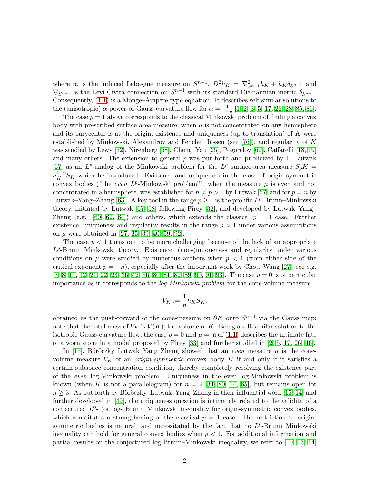where **m** is the induced Lebesgue measure on  $S^{n-1}$ ,  $D^2 h_K = \nabla_{S^{n-1}}^2 h_K + h_K \delta_{S^{n-1}}$  and  $\nabla_{S^{n-1}}$  is the Levi-Civita connection on  $S^{n-1}$  with its standard Riemannian metric  $\delta_{S^{n-1}}$ . Consequently,  $(1.1)$  is a Monge–Ampère-type equation. It describes self-similar solutions to the (anisotropic)  $\alpha$ -power-of-Gauss-curvature flow for  $\alpha = \frac{1}{1-\alpha}$  $\frac{1}{1-p}$  [\[1,](#page-27-0) [2,](#page-27-1) [3,](#page-27-2) [5,](#page-27-3) [17,](#page-28-0) [26,](#page-28-1) [28,](#page-28-2) [85,](#page-31-0) [86\]](#page-31-1).

The case  $p = 1$  above corresponds to the classical Minkowski problem of finding a convex body with prescribed surface-area measure; when  $\mu$  is not concentrated on any hemisphere and its barycenter is at the origin, existence and uniqueness (up to translation) of K were established by Minkowski, Alexandrov and Fenchel–Jessen (see [\[76\]](#page-30-0)), and regularity of  $K$ was studied by Lewy [\[52\]](#page-29-0), Nirenberg [\[68\]](#page-30-1), Cheng–Yau [\[25\]](#page-28-3), Pogorelov [\[69\]](#page-30-2), Caffarelli [\[18,](#page-28-4) [19\]](#page-28-5) and many others. The extension to general  $p$  was put forth and publicized by E. Lutwak [\[57\]](#page-29-1) as an  $L^p$ -analog of the Minkowski problem for the  $L^p$  surface-area measure  $S_pK =$  $h_K^{1-p}S_K$  which he introduced. Existence and uniqueness in the class of origin-symmetric convex bodies ("the *even LP*-Minkowski problem"), when the measure  $\mu$  is even and not concentrated in a hemisphere, was established for  $n \neq p > 1$  by Lutwak [\[57\]](#page-29-1) and for  $p = n$  by Lutwak–Yang–Zhang [\[63\]](#page-30-3). A key tool in the range  $p \geq 1$  is the prolific  $L^p$ -Brunn–Minkowski theory, initiated by Lutwak [\[57,](#page-29-1) [58\]](#page-29-2) following Firey [\[32\]](#page-28-6), and developed by Lutwak–Yang– Zhang (e.g. [\[60,](#page-30-4) [62,](#page-30-5) [64\]](#page-30-6)) and others, which extends the classical  $p = 1$  case. Further existence, uniqueness and regularity results in the range  $p > 1$  under various assumptions on  $\mu$  were obtained in [\[27,](#page-28-7) [35,](#page-28-8) [39,](#page-29-3) [40,](#page-29-4) [59,](#page-30-7) [92\]](#page-31-2).

The case  $p < 1$  turns out to be more challenging because of the lack of an appropriate L<sup>p</sup>-Brunn–Minkowski theory. Existence, (non-)uniqueness and regularity under various conditions on  $\mu$  were studied by numerous authors when  $p < 1$  (from either side of the critical exponent  $p = -n$ , especially after the important work by Chou–Wang [\[27\]](#page-28-7), see e.g.  $[7, 8, 11, 12, 21, 22, 23, 36, 42, 56, 80, 81, 82, 89, 90, 91, 93]$  $[7, 8, 11, 12, 21, 22, 23, 36, 42, 56, 80, 81, 82, 89, 90, 91, 93]$  $[7, 8, 11, 12, 21, 22, 23, 36, 42, 56, 80, 81, 82, 89, 90, 91, 93]$  $[7, 8, 11, 12, 21, 22, 23, 36, 42, 56, 80, 81, 82, 89, 90, 91, 93]$  $[7, 8, 11, 12, 21, 22, 23, 36, 42, 56, 80, 81, 82, 89, 90, 91, 93]$  $[7, 8, 11, 12, 21, 22, 23, 36, 42, 56, 80, 81, 82, 89, 90, 91, 93]$  $[7, 8, 11, 12, 21, 22, 23, 36, 42, 56, 80, 81, 82, 89, 90, 91, 93]$  $[7, 8, 11, 12, 21, 22, 23, 36, 42, 56, 80, 81, 82, 89, 90, 91, 93]$  $[7, 8, 11, 12, 21, 22, 23, 36, 42, 56, 80, 81, 82, 89, 90, 91, 93]$  $[7, 8, 11, 12, 21, 22, 23, 36, 42, 56, 80, 81, 82, 89, 90, 91, 93]$  $[7, 8, 11, 12, 21, 22, 23, 36, 42, 56, 80, 81, 82, 89, 90, 91, 93]$  $[7, 8, 11, 12, 21, 22, 23, 36, 42, 56, 80, 81, 82, 89, 90, 91, 93]$  $[7, 8, 11, 12, 21, 22, 23, 36, 42, 56, 80, 81, 82, 89, 90, 91, 93]$  $[7, 8, 11, 12, 21, 22, 23, 36, 42, 56, 80, 81, 82, 89, 90, 91, 93]$  $[7, 8, 11, 12, 21, 22, 23, 36, 42, 56, 80, 81, 82, 89, 90, 91, 93]$  $[7, 8, 11, 12, 21, 22, 23, 36, 42, 56, 80, 81, 82, 89, 90, 91, 93]$  $[7, 8, 11, 12, 21, 22, 23, 36, 42, 56, 80, 81, 82, 89, 90, 91, 93]$ . The case  $p = 0$  is of particular importance as it corresponds to the log-Minkowski problem for the cone-volume measure

$$
V_K := \frac{1}{n} h_K S_K,
$$

obtained as the push-forward of the cone-measure on  $\partial K$  onto  $S^{n-1}$  via the Gauss map; note that the total mass of  $V_K$  is  $V(K)$ , the volume of K. Being a self-similar solution to the isotropic Gauss-curvature flow, the case  $p = 0$  and  $\mu = \mathfrak{m}$  of [\(1.1\)](#page-0-0) describes the ultimate fate of a worn stone in a model proposed by Firey [\[33\]](#page-28-13) and further studied in [\[2,](#page-27-1) [5,](#page-27-3) [17,](#page-28-0) [26,](#page-28-1) [46\]](#page-29-7).

In [\[15\]](#page-27-8), Böröczky–Lutwak–Yang–Zhang showed that an *even* measure  $\mu$  is the conevolume measure  $V_K$  of an *origin-symmetric* convex body K if and only if it satisfies a certain subspace concentration condition, thereby completely resolving the existence part of the even log-Minkowski problem. Uniqueness in the even log-Minkowski problem is known (when K is not a parallelogram) for  $n = 2$  [\[34,](#page-28-14) [80,](#page-31-3) [14,](#page-27-9) [65\]](#page-30-8), but remains open for  $n \geq 3$ . As put forth by Böröczky–Lutwak–Yang–Zhang in their influential work [\[15,](#page-27-8) [14\]](#page-27-9) and further developed in [\[49\]](#page-29-8), the uniqueness question is intimately related to the validity of a conjectured  $L^0$ - (or log-)Brunn–Minkowski inequality for origin-symmetric convex bodies, which constitutes a strengthening of the classical  $p = 1$  case. The restriction to originsymmetric bodies is natural, and necessitated by the fact that no  $L^p$ -Brunn–Minkowski inequality can hold for general convex bodies when  $p < 1$ . For additional information and partial results on the conjectured log-Brunn–Minkowski inequality, we refer to [\[10,](#page-27-10) [13,](#page-27-11) [14,](#page-27-9)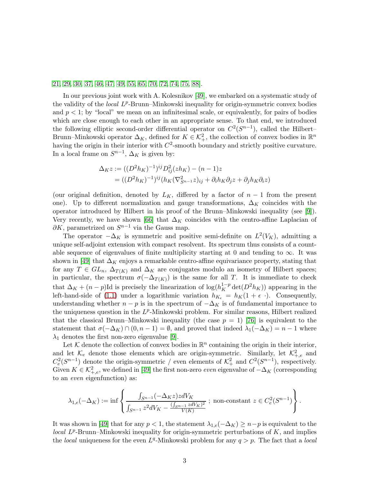[21,](#page-28-9) [29,](#page-28-15) [30,](#page-28-16) [37,](#page-28-17) [46,](#page-29-7) [47,](#page-29-9) [49,](#page-29-8) [55,](#page-29-10) [65,](#page-30-8) [70,](#page-30-9) [72,](#page-30-10) [74,](#page-30-11) [75,](#page-30-12) [88\]](#page-31-10).

In our previous joint work with A. Kolesnikov [\[49\]](#page-29-8), we embarked on a systematic study of the validity of the *local* L<sup>p</sup>-Brunn-Minkowski inequality for origin-symmetric convex bodies and  $p < 1$ ; by "local" we mean on an infinitesimal scale, or equivalently, for pairs of bodies which are close enough to each other in an appropriate sense. To that end, we introduced the following elliptic second-order differential operator on  $C^2(S^{n-1})$ , called the Hilbert– Brunn–Minkowski operator  $\Delta_K$ , defined for  $K \in \mathcal{K}^2_+$ , the collection of convex bodies in  $\mathbb{R}^n$ having the origin in their interior with  $C^2$ -smooth boundary and strictly positive curvature. In a local frame on  $S^{n-1}$ ,  $\Delta_K$  is given by:

$$
\Delta_K z := ((D^2 h_K)^{-1})^{ij} D_{ij}^2 (zh_K) - (n-1)z
$$
  
= 
$$
((D^2 h_K)^{-1})^{ij} (h_K (\nabla_{S^{n-1}}^2 z)_{ij} + \partial_i h_K \partial_j z + \partial_j h_K \partial_i z)
$$

(our original definition, denoted by  $L_K$ , differed by a factor of  $n-1$  from the present one). Up to different normalization and gauge transformations,  $\Delta_K$  coincides with the operator introduced by Hilbert in his proof of the Brunn–Minkowski inequality (see [\[9\]](#page-27-12)). Very recently, we have shown [\[66\]](#page-30-13) that  $\Delta_K$  coincides with the centro-affine Laplacian of  $\partial K$ , parametrized on  $S^{n-1}$  via the Gauss map.

The operator  $-\Delta_K$  is symmetric and positive semi-definite on  $L^2(V_K)$ , admitting a unique self-adjoint extension with compact resolvent. Its spectrum thus consists of a countable sequence of eigenvalues of finite multiplicity starting at 0 and tending to  $\infty$ . It was shown in [\[49\]](#page-29-8) that  $\Delta_K$  enjoys a remarkable centro-affine equivariance property, stating that for any  $T \in GL_n$ ,  $\Delta_{T(K)}$  and  $\Delta_K$  are conjugates modulo an isometry of Hilbert spaces; in particular, the spectrum  $\sigma(-\Delta_{T(K)})$  is the same for all T. It is immediate to check that  $\Delta_K + (n - p)$ Id is precisely the linearization of  $\log(h_K^{1-p} \det(D^2 h_K))$  appearing in the left-hand-side of [\(1.1\)](#page-0-0) under a logarithmic variation  $h_{K_{\epsilon}} = h_K(1 + \epsilon)$ . Consequently, understanding whether  $n - p$  is in the spectrum of  $-\Delta_K$  is of fundamental importance to the uniqueness question in the  $L^p$ -Minkowski problem. For similar reasons, Hilbert realized that the classical Brunn–Minkowski inequality (the case  $p = 1$ ) [\[76\]](#page-30-0) is equivalent to the statement that  $\sigma(-\Delta_K) \cap (0, n-1) = \emptyset$ , and proved that indeed  $\lambda_1(-\Delta_K) = n-1$  where  $\lambda_1$  denotes the first non-zero eigenvalue [\[9\]](#page-27-12).

Let K denote the collection of convex bodies in  $\mathbb{R}^n$  containing the origin in their interior, and let  $\mathcal{K}_e$  denote those elements which are origin-symmetric. Similarly, let  $\mathcal{K}^2_{+,e}$  and  $C_e^2(S^{n-1})$  denote the origin-symmetric / even elements of  $\mathcal{K}_+^2$  and  $C^2(S^{n-1})$ , respectively. Given  $K \in \mathcal{K}^2_{+,e}$ , we defined in [\[49\]](#page-29-8) the first non-zero *even* eigenvalue of  $-\Delta_K$  (corresponding to an even eigenfunction) as:

$$
\lambda_{1,e}(-\Delta_K):=\inf\left\{\frac{\int_{S^{n-1}}(-\Delta_Kz)zdV_K}{\int_{S^{n-1}}z^2dV_K-\frac{(\int_{S^{n-1}}z dV_K)^2}{V(K)}}\ ;\ \text{non-constant}\ z\in C^2_e(S^{n-1})\right\}.
$$

It was shown in [\[49\]](#page-29-8) that for any  $p < 1$ , the statement  $\lambda_{1,e}(-\Delta_K) \geq n-p$  is equivalent to the local  $L^p$ -Brunn–Minkowski inequality for origin-symmetric perturbations of  $K$ , and implies the *local* uniqueness for the even  $L^q$ -Minkowski problem for any  $q > p$ . The fact that a *local*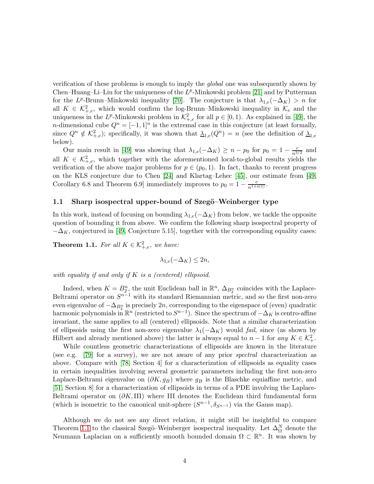verification of these problems is enough to imply the global one was subsequently shown by Chen–Huang–Li–Liu for the uniqueness of the  $L^p$ -Minkowski problem [\[21\]](#page-28-9) and by Putterman for the L<sup>p</sup>-Brunn–Minkowski inequality [\[70\]](#page-30-9). The conjecture is that  $\lambda_{1,e}(-\Delta_K) > n$  for all  $K \in \mathcal{K}^2_{+,e}$ , which would confirm the log-Brunn–Minkowski inequality in  $\mathcal{K}_e$  and the uniqueness in the L<sup>p</sup>-Minkowski problem in  $\mathcal{K}^2_{+,e}$  for all  $p \in [0,1)$ . As explained in [\[49\]](#page-29-8), the *n*-dimensional cube  $Q^n = [-1,1]^n$  is the extremal case in this conjecture (at least formally, since  $Q^n \notin \mathcal{K}^2_{+,e}$ ); specifically, it was shown that  $\underline{\lambda}_{1,e}(Q^n) = n$  (see the definition of  $\underline{\lambda}_{1,e}$ below).

Our main result in [\[49\]](#page-29-8) was showing that  $\lambda_{1,e}(-\Delta_K) \geq n - p_0$  for  $p_0 = 1 - \frac{c}{n^{3/2}}$  and all  $K \in \mathcal{K}^2_{+,e}$ , which together with the aforementioned local-to-global results yields the verification of the above major problems for  $p \in (p_0, 1)$ . In fact, thanks to recent progress on the KLS conjecture due to Chen [\[24\]](#page-28-18) and Klartag–Lehec [\[45\]](#page-29-11), our estimate from [\[49,](#page-29-8) Corollary 6.8 and Theorem 6.9] immediately improves to  $p_0 = 1 - \frac{c}{n^{1+o(1)}}$ .

#### 1.1 Sharp isospectral upper-bound of Szegö–Weinberger type

In this work, instead of focusing on bounding  $\lambda_{1,e}(-\Delta_K)$  from below, we tackle the opposite question of bounding it from above. We confirm the following sharp isospectral property of  $-\Delta_K$ , conjectured in [\[49,](#page-29-8) Conjecture 5.15], together with the corresponding equality cases:

<span id="page-3-0"></span>**Theorem 1.1.** For all  $K \in \mathcal{K}^2_{+,e}$ , we have:

 $\lambda_{1,e}(-\Delta_K) \leq 2n$ ,

with equality if and only if K is a (centered) ellipsoid.

Indeed, when  $K = B_2^n$ , the unit Euclidean ball in  $\mathbb{R}^n$ ,  $\Delta_{B_2^n}$  coincides with the Laplace-Beltrami operator on  $S^{n-1}$  with its standard Riemannian metric, and so the first non-zero even eigenvalue of  $-\Delta_{B_2^n}$  is precisely  $2n$ , corresponding to the eigenspace of (even) quadratic harmonic polynomials in  $\mathbb{R}^n$  (restricted to  $S^{n-1}$ ). Since the spectrum of  $-\Delta_K$  is centro-affine invariant, the same applies to all (centered) ellipsoids. Note that a similar characterization of ellipsoids using the first non-zero eigenvalue  $\lambda_1(-\Delta_K)$  would fail, since (as shown by Hilbert and already mentioned above) the latter is always equal to  $n-1$  for any  $K \in \mathcal{K}^2_+$ .

While countless geometric characterizations of ellipsoids are known in the literature (see e.g. [\[79\]](#page-31-11) for a survey), we are not aware of any prior spectral characterization as above. Compare with [\[78,](#page-30-14) Section 4] for a characterization of ellipsoids as equality cases in certain inequalities involving several geometric parameters including the first non-zero Laplace-Beltrami eigenvalue on  $(\partial K, g_B)$  where  $g_B$  is the Blaschke equiaffine metric, and [\[51,](#page-29-12) Section 8] for a characterization of ellipsoids in terms of a PDE involving the Laplace-Beltrami operator on  $(\partial K, III)$  where III denotes the Euclidean third fundamental form (which is isometric to the canonical unit-sphere  $(S^{n-1}, \delta_{S^{n-1}})$  via the Gauss map).

Although we do not see any direct relation, it might still be insightful to compare Theorem [1.1](#page-3-0) to the classical Szegö–Weinberger isospectral inequality. Let  $\Delta_{\Omega}^N$  denote the Neumann Laplacian on a sufficiently smooth bounded domain  $\Omega \subset \mathbb{R}^n$ . It was shown by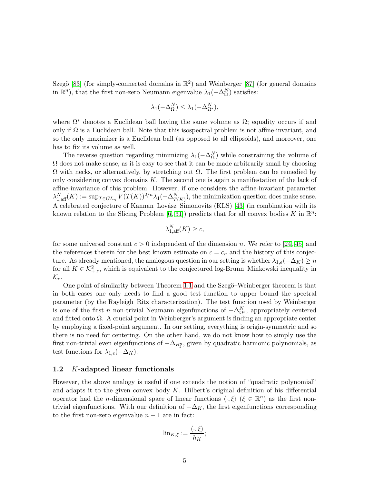Szegö [\[83\]](#page-31-12) (for simply-connected domains in  $\mathbb{R}^2$ ) and Weinberger [\[87\]](#page-31-13) (for general domains in  $\mathbb{R}^n$ ), that the first non-zero Neumann eigenvalue  $\lambda_1(-\Delta_{\Omega}^N)$  satisfies:

$$
\lambda_1(-\Delta_{\Omega}^N) \leq \lambda_1(-\Delta_{\Omega^*}^N),
$$

where  $\Omega^*$  denotes a Euclidean ball having the same volume as  $\Omega$ ; equality occurs if and only if  $\Omega$  is a Euclidean ball. Note that this isospectral problem is not affine-invariant, and so the only maximizer is a Euclidean ball (as opposed to all ellipsoids), and moreover, one has to fix its volume as well.

The reverse question regarding minimizing  $\lambda_1(-\Delta_{\Omega}^N)$  while constraining the volume of  $\Omega$  does not make sense, as it is easy to see that it can be made arbitrarily small by choosing  $Ω$  with necks, or alternatively, by stretching out  $Ω$ . The first problem can be remedied by only considering convex domains K. The second one is again a manifestation of the lack of affine-invariance of this problem. However, if one considers the affine-invariant parameter  $\lambda_{1, \text{aff}}^N(K) := \sup_{T \in GL_n} V(T(K))^{2/n} \lambda_1(-\Delta_{T(K)}^N)$ , the minimization question does make sense. A celebrated conjecture of Kannan–Lovász–Simonovits (KLS) [\[43\]](#page-29-13) (in combination with its known relation to the Slicing Problem [\[6,](#page-27-13) [31\]](#page-28-19)) predicts that for all convex bodies K in  $\mathbb{R}^n$ :

$$
\lambda_{1,\text{aff}}^N(K) \ge c,
$$

for some universal constant  $c > 0$  independent of the dimension n. We refer to [\[24,](#page-28-18) [45\]](#page-29-11) and the references therein for the best known estimate on  $c = c_n$  and the history of this conjecture. As already mentioned, the analogous question in our setting is whether  $\lambda_{1,e}(-\Delta_K) \geq n$ for all  $K \in \mathcal{K}^2_{+,e}$ , which is equivalent to the conjectured log-Brunn–Minkowski inequality in  $\mathcal{K}_e$ .

One point of similarity between Theorem [1.1](#page-3-0) and the Szegö–Weinberger theorem is that in both cases one only needs to find a good test function to upper bound the spectral parameter (by the Rayleigh–Ritz characterization). The test function used by Weinberger is one of the first n non-trivial Neumann eigenfunctions of  $-\Delta_{\Omega^*}^N$ , appropriately centered and fitted onto  $\Omega$ . A crucial point in Weinberger's argument is finding an appropriate center by employing a fixed-point argument. In our setting, everything is origin-symmetric and so there is no need for centering. On the other hand, we do not know how to simply use the first non-trivial even eigenfunctions of  $-\Delta_{B_2^n}$ , given by quadratic harmonic polynomials, as test functions for  $\lambda_{1,e}(-\Delta_K)$ .

#### 1.2 K-adapted linear functionals

However, the above analogy is useful if one extends the notion of "quadratic polynomial" and adapts it to the given convex body  $K$ . Hilbert's original definition of his differential operator had the *n*-dimensional space of linear functions  $\langle \cdot, \xi \rangle$  ( $\xi \in \mathbb{R}^n$ ) as the first nontrivial eigenfunctions. With our definition of  $-\Delta_K$ , the first eigenfunctions corresponding to the first non-zero eigenvalue  $n - 1$  are in fact:

$$
\lim_{K,\xi} := \frac{\langle \cdot,\xi \rangle}{h_K};
$$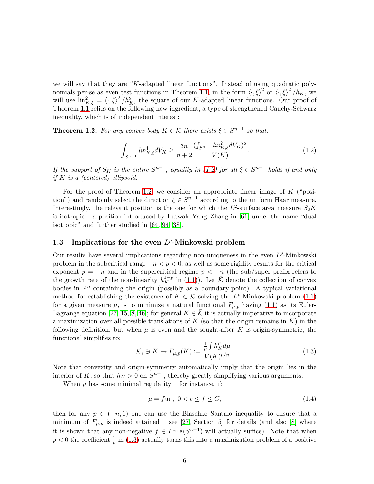we will say that they are "K-adapted linear functions". Instead of using quadratic poly-nomials per-se as even test functions in Theorem [1.1,](#page-3-0) in the form  $\langle \cdot, \xi \rangle^2$  or  $\langle \cdot, \xi \rangle^2 / h_K$ , we will use  $\lim_{K,\xi}^2 = \langle \cdot, \xi \rangle^2 / h_K^2$ , the square of our K-adapted linear functions. Our proof of Theorem [1.1](#page-3-0) relies on the following new ingredient, a type of strengthened Cauchy-Schwarz inequality, which is of independent interest:

<span id="page-5-1"></span>**Theorem 1.2.** For any convex body  $K \in \mathcal{K}$  there exists  $\xi \in S^{n-1}$  so that:

<span id="page-5-0"></span>
$$
\int_{S^{n-1}} lin_{K,\xi}^4 dV_K \ge \frac{3n}{n+2} \frac{(\int_{S^{n-1}} lin_{K,\xi}^2 dV_K)^2}{V(K)}.
$$
\n(1.2)

If the support of  $S_K$  is the entire  $S^{n-1}$ , equality in [\(1.2\)](#page-5-0) for all  $\xi \in S^{n-1}$  holds if and only if  $K$  is a (centered) ellipsoid.

For the proof of Theorem [1.2,](#page-5-1) we consider an appropriate linear image of  $K$  ("position") and randomly select the direction  $\xi \in S^{n-1}$  according to the uniform Haar measure. Interestingly, the relevant position is the one for which the  $L^2$ -surface area measure  $S_2K$ is isotropic – a position introduced by Lutwak–Yang–Zhang in [\[61\]](#page-30-15) under the name "dual isotropic" and further studied in [\[64,](#page-30-6) [94,](#page-31-14) [38\]](#page-29-14).

## <span id="page-5-4"></span>1.3 Implications for the even  $L^p$ -Minkowski problem

Our results have several implications regarding non-uniqueness in the even  $L^p$ -Minkowski problem in the subcritical range  $-n < p < 0$ , as well as some rigidity results for the critical exponent  $p = -n$  and in the supercritical regime  $p < -n$  (the sub/super prefix refers to the growth rate of the non-linearity  $h_K^{1-p}$  in [\(1.1\)](#page-0-0)). Let  $\bar{\mathcal{K}}$  denote the collection of convex bodies in  $\mathbb{R}^n$  containing the origin (possibly as a boundary point). A typical variational method for establishing the existence of  $K \in \overline{K}$  solving the L<sup>p</sup>-Minkowski problem [\(1.1\)](#page-0-0) for a given measure  $\mu$ , is to minimize a natural functional  $F_{\mu,p}$  having [\(1.1\)](#page-0-0) as its Euler-Lagrange equation [\[27,](#page-28-7) [15,](#page-27-8) [8,](#page-27-5) [46\]](#page-29-7); for general  $K \in \mathcal{K}$  it is actually imperative to incorporate a maximization over all possible translations of K (so that the origin remains in  $K$ ) in the following definition, but when  $\mu$  is even and the sought-after K is origin-symmetric, the functional simplifies to:

<span id="page-5-2"></span>
$$
\mathcal{K}_e \ni K \mapsto F_{\mu, p}(K) := \frac{\frac{1}{p} \int h_K^p d\mu}{V(K)^{p/n}}.
$$
\n(1.3)

Note that convexity and origin-symmetry automatically imply that the origin lies in the interior of K, so that  $h_K > 0$  on  $S^{n-1}$ , thereby greatly simplifying various arguments.

When  $\mu$  has some minimal regularity – for instance, if:

<span id="page-5-3"></span>
$$
\mu = f\mathfrak{m} \ , \ 0 < c \le f \le C,\tag{1.4}
$$

then for any  $p \in (-n, 1)$  one can use the Blaschke–Santaló inequality to ensure that a minimum of  $F_{\mu,p}$  is indeed attained – see [\[27,](#page-28-7) Section 5] for details (and also [\[8\]](#page-27-5) where it is shown that any non-negative  $f \in L^{\frac{n}{n+p}}(S^{n-1})$  will actually suffice). Note that when  $p < 0$  the coefficient  $\frac{1}{p}$  in [\(1.3\)](#page-5-2) actually turns this into a maximization problem of a positive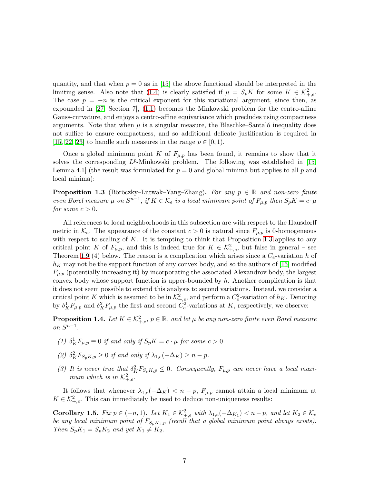quantity, and that when  $p = 0$  as in [\[15\]](#page-27-8) the above functional should be interpreted in the limiting sense. Also note that [\(1.4\)](#page-5-3) is clearly satisfied if  $\mu = S_p K$  for some  $K \in \mathcal{K}^2_{+,e}$ . The case  $p = -n$  is the critical exponent for this variational argument, since then, as expounded in [\[27,](#page-28-7) Section 7], [\(1.1\)](#page-0-0) becomes the Minkowski problem for the centro-affine Gauss-curvature, and enjoys a centro-affine equivariance which precludes using compactness arguments. Note that when  $\mu$  is a singular measure, the Blaschke–Santaló inequality does not suffice to ensure compactness, and so additional delicate justification is required in [\[15,](#page-27-8) [22,](#page-28-10) [23\]](#page-28-11) to handle such measures in the range  $p \in [0, 1)$ .

Once a global minimum point K of  $F_{\mu,p}$  has been found, it remains to show that it solves the corresponding  $L^p$ -Minkowski problem. The following was established in [\[15,](#page-27-8) Lemma 4.1 (the result was formulated for  $p = 0$  and global minima but applies to all p and local minima):

<span id="page-6-0"></span>**Proposition 1.3** (Böröczky–Lutwak–Yang–Zhang). For any  $p \in \mathbb{R}$  and non-zero finite even Borel measure  $\mu$  on  $S^{n-1}$ , if  $K \in \mathcal{K}_e$  is a local minimum point of  $F_{\mu,p}$  then  $S_pK = c \cdot \mu$ for some  $c > 0$ .

All references to local neighborhoods in this subsection are with respect to the Hausdorff metric in  $\mathcal{K}_e$ . The appearance of the constant  $c > 0$  is natural since  $F_{\mu,p}$  is 0-homogeneous with respect to scaling of  $K$ . It is tempting to think that Proposition [1.3](#page-6-0) applies to any critical point K of  $F_{\mu,p}$ , and this is indeed true for  $K \in \mathcal{K}^2_{+,e}$ , but false in general – see Theorem [1.9](#page-8-0) (4) below. The reason is a complication which arises since a  $C_e$ -variation h of  $h_K$  may not be the support function of any convex body, and so the authors of [\[15\]](#page-27-8) modified  $F_{\mu,p}$  (potentially increasing it) by incorporating the associated Alexandrov body, the largest convex body whose support function is upper-bounded by  $h$ . Another complication is that it does not seem possible to extend this analysis to second variations. Instead, we consider a critical point K which is assumed to be in  $\mathcal{K}^2_{+,e}$ , and perform a  $C_e^2$ -variation of  $h_K$ . Denoting by  $\delta_K^1 F_{\mu,p}$  and  $\delta_K^2 F_{\mu,p}$  the first and second  $C_e^2$ -variations at K, respectively, we observe:

<span id="page-6-1"></span>**Proposition 1.4.** Let  $K \in \mathcal{K}^2_{+,e}$ ,  $p \in \mathbb{R}$ , and let  $\mu$  be any non-zero finite even Borel measure on  $S^{n-1}$ .

- (1)  $\delta_K^1 F_{\mu,p} \equiv 0$  if and only if  $S_p K = c \cdot \mu$  for some  $c > 0$ .
- (2)  $\delta_K^2 F_{S_p K, p} \geq 0$  if and only if  $\lambda_{1,e}(-\Delta_K) \geq n-p$ .
- (3) It is never true that  $\delta_K^2 F_{S_p K,p} \leq 0$ . Consequently,  $F_{\mu,p}$  can never have a local maximum which is in  $\mathcal{K}^2_{+,e}$ .

It follows that whenever  $\lambda_{1,e}(-\Delta_K) < n-p$ ,  $F_{\mu,p}$  cannot attain a local minimum at  $K \in \mathcal{K}^2_{+,e}$ . This can immediately be used to deduce non-uniqueness results:

<span id="page-6-2"></span>Corollary 1.5. Fix  $p \in (-n,1)$ . Let  $K_1 \in \mathcal{K}^2_{+,e}$  with  $\lambda_{1,e}(-\Delta_{K_1}) < n-p$ , and let  $K_2 \in \mathcal{K}_e$ be any local minimum point of  $F_{S_pK_1,p}$  (recall that a global minimum point always exists). Then  $S_p K_1 = S_p K_2$  and yet  $K_1 \neq K_2$ .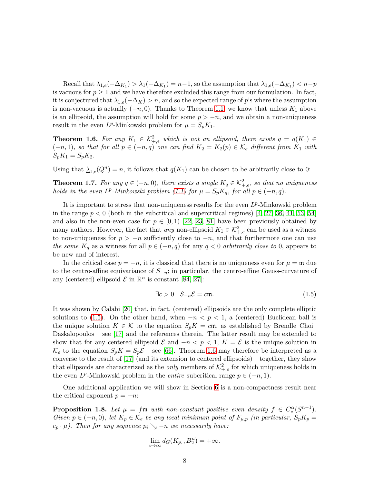Recall that  $\lambda_{1,e}(-\Delta_{K_1}) > \lambda_1(-\Delta_{K_1}) = n-1$ , so the assumption that  $\lambda_{1,e}(-\Delta_{K_1}) < n-p$ is vacuous for  $p \geq 1$  and we have therefore excluded this range from our formulation. In fact, it is conjectured that  $\lambda_{1,e}(-\Delta_K) > n$ , and so the expected range of p's where the assumption is non-vacuous is actually  $(-n, 0)$ . Thanks to Theorem [1.1,](#page-3-0) we know that unless  $K_1$  above is an ellipsoid, the assumption will hold for some  $p > -n$ , and we obtain a non-uniqueness result in the even  $L^p$ -Minkowski problem for  $\mu = S_p K_1$ .

<span id="page-7-1"></span>**Theorem 1.6.** For any  $K_1 \in \mathcal{K}^2_{+,e}$  which is not an ellipsoid, there exists  $q = q(K_1) \in$  $(-n, 1)$ , so that for all  $p \in (-n, q)$  one can find  $K_2 = K_2(p) \in \mathcal{K}_e$  different from  $K_1$  with  $S_pK_1 = S_pK_2.$ 

Using that  $\underline{\lambda}_{1,e}(Q^n) = n$ , it follows that  $q(K_1)$  can be chosen to be arbitrarily close to 0:

<span id="page-7-2"></span>**Theorem 1.7.** For any  $q \in (-n,0)$ , there exists a single  $K_q \in \mathcal{K}^2_{+,e}$ , so that no uniqueness holds in the even  $L^p$ -Minkowski problem [\(1.1\)](#page-0-0) for  $\mu = S_p K_q$ , for all  $p \in (-n, q)$ .

It is important to stress that non-uniqueness results for the even  $L^p$ -Minkowski problem in the range  $p < 0$  (both in the subcritical and supercritical regimes) [\[4,](#page-27-14) [27,](#page-28-7) [36,](#page-28-12) [41,](#page-29-15) [53,](#page-29-16) [54\]](#page-29-17) and also in the non-even case for  $p \in [0,1)$  [\[22,](#page-28-10) [23,](#page-28-11) [81\]](#page-31-4) have been previously obtained by many authors. However, the fact that *any* non-ellipsoid  $K_1 \in \mathcal{K}^2_{+,e}$  can be used as a witness to non-uniqueness for  $p > -n$  sufficiently close to  $-n$ , and that furthermore one can use the same  $K_q$  as a witness for all  $p \in (-n,q)$  for any  $q < 0$  arbitrarily close to 0, appears to be new and of interest.

In the critical case  $p = -n$ , it is classical that there is no uniqueness even for  $\mu = \mathfrak{m}$  due to the centro-affine equivariance of  $S_{-n}$ ; in particular, the centro-affine Gauss-curvature of any (centered) ellipsoid  $\mathcal E$  in  $\mathbb R^n$  is constant [\[84,](#page-31-15) [27\]](#page-28-7):

<span id="page-7-0"></span>
$$
\exists c > 0 \quad S_{-n} \mathcal{E} = c \mathfrak{m}. \tag{1.5}
$$

It was shown by Calabi [\[20\]](#page-28-20) that, in fact, (centered) ellipsoids are the only complete elliptic solutions to [\(1.5\)](#page-7-0). On the other hand, when  $-n < p < 1$ , a (centered) Euclidean ball is the unique solution  $K \in \mathcal{K}$  to the equation  $S_pK = c\mathfrak{m}$ , as established by Brendle–Choi– Daskalopoulos – see [\[17\]](#page-28-0) and the references therein. The latter result may be extended to show that for any centered ellipsoid  $\mathcal E$  and  $-n < p < 1$ ,  $K = \mathcal E$  is the unique solution in  $\mathcal{K}_e$  to the equation  $S_p K = S_p \mathcal{E}$  – see [\[66\]](#page-30-13). Theorem [1.6](#page-7-1) may therefore be interpreted as a converse to the result of [\[17\]](#page-28-0) (and its extension to centered ellipsoids) – together, they show that ellipsoids are characterized as the *only* members of  $\mathcal{K}^2_{+,e}$  for which uniqueness holds in the even  $L^p$ -Minkowski problem in the *entire* subcritical range  $p \in (-n, 1)$ .

One additional application we will show in Section [6](#page-23-0) is a non-compactness result near the critical exponent  $p = -n$ :

<span id="page-7-3"></span>**Proposition 1.8.** Let  $\mu = f \mathfrak{m}$  with non-constant positive even density  $f \in C_e^{\alpha}(S^{n-1})$ . Given  $p \in (-n, 0)$ , let  $K_p \in \mathcal{K}_e$  be any local minimum point of  $F_{\mu, p}$  (in particular,  $S_p K_p =$  $c_p \cdot \mu$ ). Then for any sequence  $p_i \searrow -n$  we necessarily have:

$$
\lim_{i \to \infty} d_G(K_{p_i}, B_2^n) = +\infty.
$$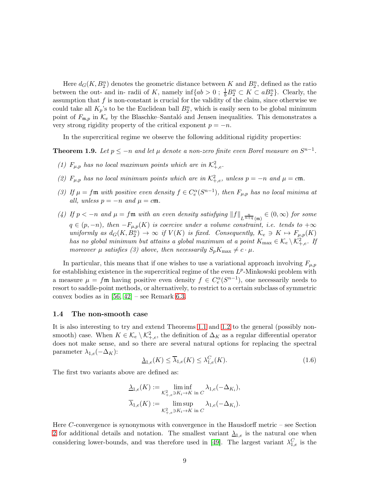Here  $d_G(K, B_2^n)$  denotes the geometric distance between K and  $B_2^n$ , defined as the ratio between the out- and in- radii of K, namely  $\inf\{ab > 0 \; ; \; \frac{1}{b}B_2^n \subset K \subset aB_2^n\}$ . Clearly, the assumption that  $f$  is non-constant is crucial for the validity of the claim, since otherwise we could take all  $K_p$ 's to be the Euclidean ball  $B_2^n$ , which is easily seen to be global minimum point of  $F_{\mathfrak{m},p}$  in  $\mathcal{K}_e$  by the Blaschke–Santaló and Jensen inequalities. This demonstrates a very strong rigidity property of the critical exponent  $p = -n$ .

In the supercritical regime we observe the following additional rigidity properties:

<span id="page-8-0"></span>**Theorem 1.9.** Let  $p \leq -n$  and let  $\mu$  denote a non-zero finite even Borel measure on  $S^{n-1}$ .

- (1)  $F_{\mu,p}$  has no local maximum points which are in  $\mathcal{K}^2_{+,e}$ .
- (2)  $F_{\mu,p}$  has no local minimum points which are in  $\mathcal{K}^2_{+,e}$ , unless  $p = -n$  and  $\mu = c \mathfrak{m}$ .
- (3) If  $\mu = f \mathfrak{m}$  with positive even density  $f \in C_e^{\alpha}(S^{n-1})$ , then  $F_{\mu,p}$  has no local minima at all, unless  $p = -n$  and  $\mu = c \mathfrak{m}$ .
- (4) If  $p < -n$  and  $\mu = f \mathfrak{m}$  with an even density satisfying  $||f||_{L^{\frac{n}{n+q}}(\mathfrak{m})} \in (0, \infty)$  for some  $q \in (p, -n)$ , then  $-F_{\mu,p}(K)$  is coercive under a volume constraint, i.e. tends to  $+\infty$ uniformly as  $d_G(K, B_2^n) \to \infty$  if  $V(K)$  is fixed. Consequently,  $\mathcal{K}_e \ni K \mapsto F_{\mu, p}(K)$ has no global minimum but attains a global maximum at a point  $K_{\text{max}} \in \mathcal{K}_e \setminus \mathcal{K}_{+,e}^2$ . If moreover  $\mu$  satisfies (3) above, then necessarily  $S_p K_{\text{max}} \neq c \cdot \mu$ .

In particular, this means that if one wishes to use a variational approach involving  $F_{\mu,p}$ for establishing existence in the supercritical regime of the even  $L^p$ -Minkowski problem with a measure  $\mu = f \mathfrak{m}$  having positive even density  $f \in C_e^{\alpha} (S^{n-1})$ , one necessarily needs to resort to saddle-point methods, or alternatively, to restrict to a certain subclass of symmetric convex bodies as in [\[56,](#page-29-6) [42\]](#page-29-5) – see Remark [6.3.](#page-26-0)

#### 1.4 The non-smooth case

It is also interesting to try and extend Theorems [1.1](#page-3-0) and [1.2](#page-5-1) to the general (possibly nonsmooth) case. When  $K \in \mathcal{K}_e \setminus \mathcal{K}^2_{+,e}$ , the definition of  $\Delta_K$  as a regular differential operator does not make sense, and so there are several natural options for replacing the spectral parameter  $\lambda_{1,e}(-\Delta_K)$ :

<span id="page-8-1"></span>
$$
\underline{\lambda}_{1,e}(K) \le \overline{\lambda}_{1,e}(K) \le \lambda_{1,e}^C(K). \tag{1.6}
$$

The first two variants above are defined as:

$$
\lambda_{1,e}(K) := \liminf_{\mathcal{K}^2_{+,e} \ni K_i \to K \text{ in } C} \lambda_{1,e}(-\Delta_{K_i}),
$$
  

$$
\overline{\lambda}_{1,e}(K) := \limsup_{\mathcal{K}^2_{+,e} \ni K_i \to K \text{ in } C} \lambda_{1,e}(-\Delta_{K_i}).
$$

Here C-convergence is synonymous with convergence in the Hausdorff metric – see Section [2](#page-10-0) for additional details and notation. The smallest variant  $\lambda_{1,e}$  is the natural one when considering lower-bounds, and was therefore used in [\[49\]](#page-29-8). The largest variant  $\lambda_{1,e}^C$  is the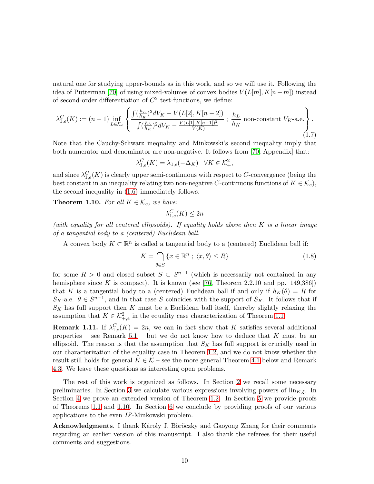natural one for studying upper-bounds as in this work, and so we will use it. Following the idea of Putterman [\[70\]](#page-30-9) of using mixed-volumes of convex bodies  $V(L[m], K[n-m])$  instead of second-order differentiation of  $C^2$  test-functions, we define:

<span id="page-9-1"></span>
$$
\lambda_{1,e}^C(K) := (n-1) \inf_{L \in \mathcal{K}_e} \left\{ \frac{\int (\frac{h_L}{h_K})^2 dV_K - V(L[2], K[n-2])}{\int (\frac{h_L}{h_K})^2 dV_K - \frac{V(L[1], K[n-1])^2}{V(K)} } \, ; \, \frac{h_L}{h_K} \text{ non-constant } V_K \text{-a.e.} \right\}.
$$
\n(1.7)

Note that the Cauchy-Schwarz inequality and Minkowski's second inequality imply that both numerator and denominator are non-negative. It follows from [\[70,](#page-30-9) Appendix] that:

$$
\lambda_{1,e}^C(K) = \lambda_{1,e}(-\Delta_K) \quad \forall K \in \mathcal{K}_+^2,
$$

and since  $\lambda_{1,e}^C(K)$  is clearly upper semi-continuous with respect to C-convergence (being the best constant in an inequality relating two non-negative C-continuous functions of  $K \in \mathcal{K}_e$ , the second inequality in [\(1.6\)](#page-8-1) immediately follows.

<span id="page-9-0"></span>**Theorem 1.10.** For all  $K \in \mathcal{K}_e$ , we have:

$$
\lambda_{1,e}^C(K) \le 2n
$$

(with equality for all centered ellipsoids). If equality holds above then  $K$  is a linear image of a tangential body to a (centered) Euclidean ball.

A convex body  $K \subset \mathbb{R}^n$  is called a tangential body to a (centered) Euclidean ball if:

<span id="page-9-2"></span>
$$
K = \bigcap_{\theta \in S} \{ x \in \mathbb{R}^n \; ; \; \langle x, \theta \rangle \le R \}
$$
\n
$$
(1.8)
$$

for some  $R > 0$  and closed subset  $S \subset S^{n-1}$  (which is necessarily not contained in any hemisphere since K is compact). It is known (see  $[76,$  Theorem 2.2.10 and pp. 149,386)) that K is a tangential body to a (centered) Euclidean ball if and only if  $h_K(\theta) = R$  for  $S_K$ -a.e.  $\theta \in S^{n-1}$ , and in that case S coincides with the support of  $S_K$ . It follows that if  $S_K$  has full support then K must be a Euclidean ball itself, thereby slightly relaxing the assumption that  $K \in \mathcal{K}^2_{+,e}$  in the equality case characterization of Theorem [1.1.](#page-3-0)

**Remark 1.11.** If  $\lambda_{1,e}^C(K) = 2n$ , we can in fact show that K satisfies several additional properties – see Remark  $5.1$  – but we do not know how to deduce that K must be an ellipsoid. The reason is that the assumption that  $S_K$  has full support is crucially used in our characterization of the equality case in Theorem [1.2,](#page-5-1) and we do not know whether the result still holds for general  $K \in \mathcal{K}$  – see the more general Theorem [4.1](#page-18-0) below and Remark [4.3.](#page-18-1) We leave these questions as interesting open problems.

The rest of this work is organized as follows. In Section [2](#page-10-0) we recall some necessary preliminaries. In Section [3](#page-15-0) we calculate various expressions involving powers of  $\lim_{K,\xi}$ . In Section [4](#page-18-2) we prove an extended version of Theorem [1.2.](#page-5-1) In Section [5](#page-21-0) we provide proofs of Theorems [1.1](#page-3-0) and [1.10.](#page-9-0) In Section [6](#page-23-0) we conclude by providing proofs of our various applications to the even  $L^p$ -Minkowski problem.

Acknowledgments. I thank Karoly J. Böröczky and Gaoyong Zhang for their comments regarding an earlier version of this manuscript. I also thank the referees for their useful comments and suggestions.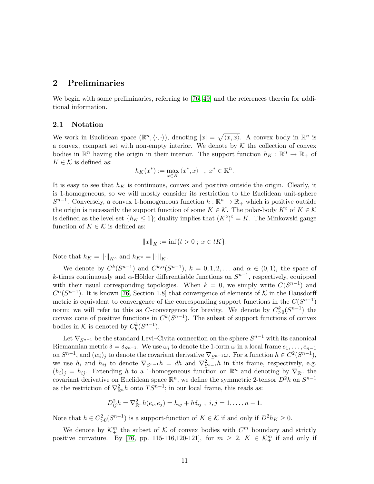## <span id="page-10-0"></span>2 Preliminaries

We begin with some preliminaries, referring to [\[76,](#page-30-0) [49\]](#page-29-8) and the references therein for additional information.

#### 2.1 Notation

We work in Euclidean space  $(\mathbb{R}^n, \langle \cdot, \cdot \rangle)$ , denoting  $|x| = \sqrt{\langle x, x \rangle}$ . A convex body in  $\mathbb{R}^n$  is a convex, compact set with non-empty interior. We denote by  $K$  the collection of convex bodies in  $\mathbb{R}^n$  having the origin in their interior. The support function  $h_K : \mathbb{R}^n \to \mathbb{R}_+$  of  $K \in \mathcal{K}$  is defined as:

$$
h_K(x^*) := \max_{x \in K} \langle x^*, x \rangle \quad , \ x^* \in \mathbb{R}^n.
$$

It is easy to see that  $h_K$  is continuous, convex and positive outside the origin. Clearly, it is 1-homogeneous, so we will mostly consider its restriction to the Euclidean unit-sphere  $S^{n-1}$ . Conversely, a convex 1-homogeneous function  $h : \mathbb{R}^n \to \mathbb{R}_+$  which is positive outside the origin is necessarily the support function of some  $K \in \mathcal{K}$ . The polar-body  $K^{\circ}$  of  $K \in \mathcal{K}$ is defined as the level-set  $\{h_K \leq 1\}$ ; duality implies that  $(K^{\circ})^{\circ} = K$ . The Minkowski gauge function of  $K \in \mathcal{K}$  is defined as:

$$
||x||_K := \inf\{t > 0 \; ; \; x \in tK\}.
$$

Note that  $h_K = \|\cdot\|_{K^\circ}$  and  $h_{K^\circ} = \|\cdot\|_K$ .

We denote by  $C^k(S^{n-1})$  and  $C^{k,\alpha}(S^{n-1}), k = 0,1,2,...$  and  $\alpha \in (0,1)$ , the space of k-times continuously and  $\alpha$ -Hölder differentiable functions on  $S^{n-1}$ , respectively, equipped with their usual corresponding topologies. When  $k = 0$ , we simply write  $C(S^{n-1})$  and  $C^{\alpha}(S^{n-1})$ . It is known [\[76,](#page-30-0) Section 1.8] that convergence of elements of K in the Hausdorff metric is equivalent to convergence of the corresponding support functions in the  $C(S^{n-1})$ norm; we will refer to this as *C*-convergence for brevity. We denote by  $C_{>0}^k(S^{n-1})$  the convex cone of positive functions in  $C^k(S^{n-1})$ . The subset of support functions of convex bodies in K is denoted by  $C_h^k(S^{n-1})$ .

Let  $\nabla_{S^{n-1}}$  be the standard Levi–Civita connection on the sphere  $S^{n-1}$  with its canonical Riemannian metric  $\delta = \delta_{S^{n-1}}$ . We use  $\omega_i$  to denote the 1-form  $\omega$  in a local frame  $e_1, \ldots, e_{n-1}$ on  $S^{n-1}$ , and  $(w_i)_j$  to denote the covariant derivative  $\nabla_{S^{n-1}}\omega$ . For a function  $h \in C^2(S^{n-1})$ , we use  $h_i$  and  $h_{ij}$  to denote  $\nabla_{S^{n-1}}h = dh$  and  $\nabla_{S^{n-1}}^2h$  in this frame, respectively, e.g.  $(h_i)_j = h_{ij}$ . Extending h to a 1-homogeneous function on  $\mathbb{R}^n$  and denoting by  $\nabla_{\mathbb{R}^n}$  the covariant derivative on Euclidean space  $\mathbb{R}^n$ , we define the symmetric 2-tensor  $D^2h$  on  $S^{n-1}$ as the restriction of  $\nabla_{\mathbb{R}^n}^2 h$  onto  $TS^{n-1}$ ; in our local frame, this reads as:

$$
D_{ij}^{2}h = \nabla_{\mathbb{R}^{n}}^{2}h(e_{i},e_{j}) = h_{ij} + h\delta_{ij} , i,j = 1,\ldots,n-1.
$$

Note that  $h \in C^2_{>0}(S^{n-1})$  is a support-function of  $K \in \mathcal{K}$  if and only if  $D^2 h_K \geq 0$ .

We denote by  $\mathcal{K}^m_+$  the subset of K of convex bodies with  $C^m$  boundary and strictly positive curvature. By [\[76,](#page-30-0) pp. 115-116,120-121], for  $m \geq 2$ ,  $K \in \mathcal{K}_{+}^{m}$  if and only if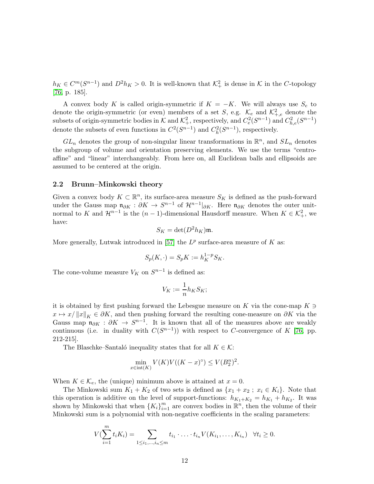$h_K \in C^m(S^{n-1})$  and  $D^2 h_K > 0$ . It is well-known that  $\mathcal{K}^2_+$  is dense in  $\mathcal K$  in the C-topology [\[76,](#page-30-0) p. 185].

A convex body K is called origin-symmetric if  $K = -K$ . We will always use  $S_e$  to denote the origin-symmetric (or even) members of a set S, e.g.  $\mathcal{K}_e$  and  $\mathcal{K}^2_{+,e}$  denote the subsets of origin-symmetric bodies in  $K$  and  $\mathcal{K}^2_+$ , respectively, and  $C^2_e(S^{n-1})$  and  $C^2_{h,e}(S^{n-1})$ denote the subsets of even functions in  $C^2(S^{n-1})$  and  $C_h^2(S^{n-1})$ , respectively.

 $GL_n$  denotes the group of non-singular linear transformations in  $\mathbb{R}^n$ , and  $SL_n$  denotes the subgroup of volume and orientation preserving elements. We use the terms "centroaffine" and "linear" interchangeably. From here on, all Euclidean balls and ellipsoids are assumed to be centered at the origin.

#### 2.2 Brunn–Minkowski theory

Given a convex body  $K \subset \mathbb{R}^n$ , its surface-area measure  $S_K$  is defined as the push-forward under the Gauss map  $\mathfrak{n}_{\partial K}$  :  $\partial K \to S^{n-1}$  of  $\mathcal{H}^{n-1}|_{\partial K}$ . Here  $\mathfrak{n}_{\partial K}$  denotes the outer unitnormal to K and  $\mathcal{H}^{n-1}$  is the  $(n-1)$ -dimensional Hausdorff measure. When  $K \in \mathcal{K}^2_+$ , we have:

$$
S_K = \det(D^2 h_K) \mathfrak{m}.
$$

More generally, Lutwak introduced in [\[57\]](#page-29-1) the  $L^p$  surface-area measure of K as:

$$
S_p(K, \cdot) = S_p K := h_K^{1-p} S_K.
$$

The cone-volume measure  $V_K$  on  $S^{n-1}$  is defined as:

$$
V_K := \frac{1}{n} h_K S_K;
$$

it is obtained by first pushing forward the Lebesgue measure on K via the cone-map  $K \ni$  $x \mapsto x/||x||_K \in \partial K$ , and then pushing forward the resulting cone-measure on  $\partial K$  via the Gauss map  $\mathfrak{n}_{\partial K}$  :  $\partial K \to S^{n-1}$ . It is known that all of the measures above are weakly continuous (i.e. in duality with  $C(S^{n-1})$ ) with respect to C-convergence of K [\[76,](#page-30-0) pp. 212-215].

The Blaschke–Santaló inequality states that for all  $K \in \mathcal{K}$ :

$$
\min_{x \in \text{int}(K)} V(K)V((K-x)^{\circ}) \le V(B_2^n)^2.
$$

When  $K \in \mathcal{K}_e$ , the (unique) minimum above is attained at  $x = 0$ .

The Minkowski sum  $K_1 + K_2$  of two sets is defined as  $\{x_1 + x_2 : x_i \in K_i\}$ . Note that this operation is additive on the level of support-functions:  $h_{K_1+K_2} = h_{K_1} + h_{K_2}$ . It was shown by Minkowski that when  ${K_i}_{i=1}^m$  are convex bodies in  $\mathbb{R}^n$ , then the volume of their Minkowski sum is a polynomial with non-negative coefficients in the scaling parameters:

$$
V(\sum_{i=1}^{m} t_i K_i) = \sum_{1 \leq i_1, ..., i_n \leq m} t_{i_1} \cdot ... \cdot t_{i_n} V(K_{i_1}, ..., K_{i_n}) \quad \forall t_i \geq 0.
$$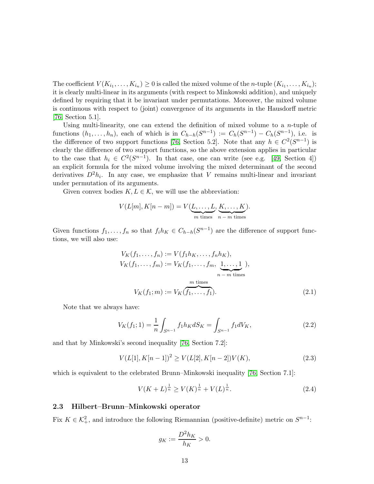The coefficient  $V(K_{i_1},...,K_{i_n})\geq 0$  is called the mixed volume of the *n*-tuple  $(K_{i_1},...,K_{i_n})$ ; it is clearly multi-linear in its arguments (with respect to Minkowski addition), and uniquely defined by requiring that it be invariant under permutations. Moreover, the mixed volume is continuous with respect to (joint) convergence of its arguments in the Hausdorff metric [\[76,](#page-30-0) Section 5.1].

Using multi-linearity, one can extend the definition of mixed volume to a  $n$ -tuple of functions  $(h_1, \ldots, h_n)$ , each of which is in  $C_{h-h}(S^{n-1}) := C_h(S^{n-1}) - C_h(S^{n-1})$ , i.e. is the difference of two support functions [\[76,](#page-30-0) Section 5.2]. Note that any  $h \in C^2(S^{n-1})$  is clearly the difference of two support functions, so the above extension applies in particular to the case that  $h_i \in C^2(S^{n-1})$ . In that case, one can write (see e.g. [\[49,](#page-29-8) Section 4]) an explicit formula for the mixed volume involving the mixed determinant of the second derivatives  $D^2 h_i$ . In any case, we emphasize that V remains multi-linear and invariant under permutation of its arguments.

Given convex bodies  $K, L \in \mathcal{K}$ , we will use the abbreviation:

$$
V(L[m], K[n-m]) = V(\underbrace{L, \dots, L}_{m \text{ times}}, \underbrace{K, \dots, K}_{n-m \text{ times}}).
$$

Given functions  $f_1, \ldots, f_n$  so that  $f_i h_K \in C_{h-h}(S^{n-1})$  are the difference of support functions, we will also use:

<span id="page-12-2"></span>
$$
V_K(f_1, ..., f_n) := V(f_1 h_K, ..., f_n h_K),
$$
  
\n
$$
V_K(f_1, ..., f_m) := V_K(f_1, ..., f_m, \underbrace{1, ..., 1}_{n-m \text{ times}}),
$$
  
\n
$$
V_K(f_1; m) := V_K(\underbrace{f_1, ..., f_1}_{f_1}).
$$
\n(2.1)

Note that we always have:

$$
V_K(f_1; 1) = \frac{1}{n} \int_{S^{n-1}} f_1 h_K dS_K = \int_{S^{n-1}} f_1 dV_K,
$$
\n(2.2)

and that by Minkowski's second inequality [\[76,](#page-30-0) Section 7.2]:

<span id="page-12-0"></span>
$$
V(L[1], K[n-1])^{2} \ge V(L[2], K[n-2])V(K),
$$
\n(2.3)

which is equivalent to the celebrated Brunn–Minkowski inequality [\[76,](#page-30-0) Section 7.1]:

<span id="page-12-1"></span>
$$
V(K+L)^{\frac{1}{n}} \ge V(K)^{\frac{1}{n}} + V(L)^{\frac{1}{n}}.
$$
\n(2.4)

#### 2.3 Hilbert–Brunn–Minkowski operator

Fix  $K \in \mathcal{K}^2_+$ , and introduce the following Riemannian (positive-definite) metric on  $S^{n-1}$ :

$$
g_K := \frac{D^2 h_K}{h_K} > 0.
$$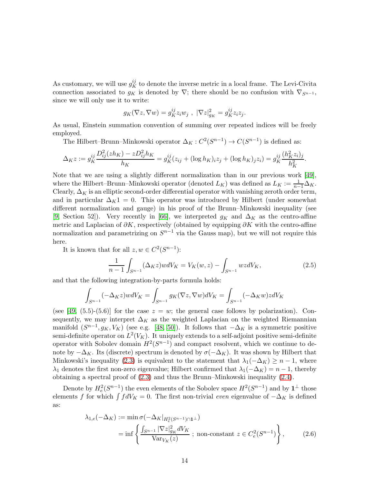As customary, we will use  $g_K^{ij}$  to denote the inverse metric in a local frame. The Levi-Civita connection associated to  $g_K$  is denoted by  $\nabla$ ; there should be no confusion with  $\nabla_{S^{n-1}}$ , since we will only use it to write:

$$
g_K(\nabla z, \nabla w) = g_K^{ij} z_i w_j , \ |\nabla z|_{g_K}^2 = g_K^{ij} z_i z_j.
$$

As usual, Einstein summation convention of summing over repeated indices will be freely employed.

The Hilbert–Brunn–Minkowski operator  $\Delta_K : C^2(S^{n-1}) \to C(S^{n-1})$  is defined as:

$$
\Delta_K z := g_K^{ij} \frac{D_{ij}^2 (zh_K) - z D_{ij}^2 h_K}{h_K} = g_K^{ij} (z_{ij} + (\log h_K)_i z_j + (\log h_K)_j z_i) = g_K^{ij} \frac{(h_K^2 z_i)_j}{h_K^2}.
$$

Note that we are using a slightly different normalization than in our previous work [\[49\]](#page-29-8), where the Hilbert–Brunn–Minkowski operator (denoted  $L_K$ ) was defined as  $L_K := \frac{1}{n-1} \Delta_K$ . Clearly,  $\Delta_K$  is an elliptic second-order differential operator with vanishing zeroth order term, and in particular  $\Delta_K 1 = 0$ . This operator was introduced by Hilbert (under somewhat different normalization and gauge) in his proof of the Brunn–Minkowski inequality (see [\[9,](#page-27-12) Section 52]). Very recently in [\[66\]](#page-30-13), we interpreted  $g_K$  and  $\Delta_K$  as the centro-affine metric and Laplacian of  $\partial K$ , respectively (obtained by equipping  $\partial K$  with the centro-affine normalization and parametrizing on  $S^{n-1}$  via the Gauss map), but we will not require this here.

It is known that for all  $z, w \in C^2(S^{n-1})$ :

<span id="page-13-1"></span>
$$
\frac{1}{n-1} \int_{S^{n-1}} (\Delta_K z) w dV_K = V_K(w, z) - \int_{S^{n-1}} wz dV_K,
$$
\n(2.5)

and that the following integration-by-parts formula holds:

$$
\int_{S^{n-1}} (-\Delta_K z) w dV_K = \int_{S^{n-1}} g_K(\nabla z, \nabla w) dV_K = \int_{S^{n-1}} (-\Delta_K w) z dV_K
$$

(see [\[49,](#page-29-8) (5.5)-(5.6)] for the case  $z = w$ ; the general case follows by polarization). Consequently, we may interpret  $\Delta_K$  as the weighted Laplacian on the weighted Riemannian manifold  $(S^{n-1}, g_K, V_K)$  (see e.g. [\[48,](#page-29-18) [50\]](#page-29-19)). It follows that  $-\Delta_K$  is a symmetric positive semi-definite operator on  $L^2(V_K)$ . It uniquely extends to a self-adjoint positive semi-definite operator with Sobolev domain  $H^2(S^{n-1})$  and compact resolvent, which we continue to denote by  $-\Delta_K$ . Its (discrete) spectrum is denoted by  $\sigma(-\Delta_K)$ . It was shown by Hilbert that Minkowski's inequality [\(2.3\)](#page-12-0) is equivalent to the statement that  $\lambda_1(-\Delta_K) \geq n-1$ , where  $\lambda_1$  denotes the first non-zero eigenvalue; Hilbert confirmed that  $\lambda_1(-\Delta_K) = n - 1$ , thereby obtaining a spectral proof of [\(2.3\)](#page-12-0) and thus the Brunn–Minkowski inequality [\(2.4\)](#page-12-1).

Denote by  $H_e^2(S^{n-1})$  the even elements of the Sobolev space  $H^2(S^{n-1})$  and by  $\mathbf{1}^{\perp}$  those elements f for which  $\int f dV_K = 0$ . The first non-trivial even eigenvalue of  $-\Delta_K$  is defined as:

<span id="page-13-0"></span>
$$
\lambda_{1,e}(-\Delta_K) := \min \sigma(-\Delta_K|_{H_e^2(S^{n-1}) \cap \mathbf{1}^\perp})
$$
  
= 
$$
\inf \left\{ \frac{\int_{S^{n-1}} |\nabla z|_{g_K}^2 dV_K}{\text{Var}_{V_K}(z)} \; ; \; \text{non-constant} \; z \in C_e^2(S^{n-1}) \right\},
$$
 (2.6)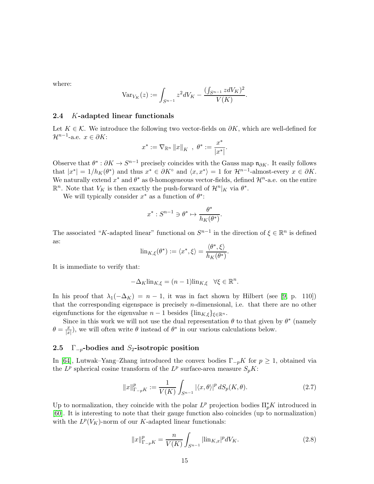where:

$$
\text{Var}_{V_K}(z) := \int_{S^{n-1}} z^2 dV_K - \frac{(\int_{S^{n-1}} z dV_K)^2}{V(K)}.
$$

#### 2.4 K-adapted linear functionals

Let  $K \in \mathcal{K}$ . We introduce the following two vector-fields on  $\partial K$ , which are well-defined for  $\mathcal{H}^{n-1}$ -a.e.  $x \in \partial K$ :

$$
x^* := \nabla_{\mathbb{R}^n} ||x||_K , \ \theta^* := \frac{x^*}{|x^*|}.
$$

Observe that  $\theta^* : \partial K \to S^{n-1}$  precisely coincides with the Gauss map  $\mathfrak{n}_{\partial K}$ . It easily follows that  $|x^*| = 1/h_K(\theta^*)$  and thus  $x^* \in \partial K^{\circ}$  and  $\langle x, x^* \rangle = 1$  for  $\mathcal{H}^{n-1}$ -almost-every  $x \in \partial K$ . We naturally extend  $x^*$  and  $\theta^*$  as 0-homogeneous vector-fields, defined  $\mathcal{H}^n$ -a.e. on the entire  $\mathbb{R}^n$ . Note that  $V_K$  is then exactly the push-forward of  $\mathcal{H}^n|_K$  via  $\theta^*$ .

We will typically consider  $x^*$  as a function of  $\theta^*$ :

$$
x^* : S^{n-1} \ni \theta^* \mapsto \frac{\theta^*}{h_K(\theta^*)}.
$$

The associated "K-adapted linear" functional on  $S^{n-1}$  in the direction of  $\xi \in \mathbb{R}^n$  is defined as:

$$
\text{lin}_{K,\xi}(\theta^*) := \langle x^*, \xi \rangle = \frac{\langle \theta^*, \xi \rangle}{h_K(\theta^*)}.
$$

It is immediate to verify that:

$$
-\Delta_K \text{lin}_{K,\xi} = (n-1)\text{lin}_{K,\xi} \quad \forall \xi \in \mathbb{R}^n.
$$

In his proof that  $\lambda_1(-\Delta_K) = n - 1$ , it was in fact shown by Hilbert (see [\[9,](#page-27-12) p. 110]) that the corresponding eigenspace is precisely  $n$ -dimensional, i.e. that there are no other eigenfunctions for the eigenvalue  $n-1$  besides  $\{\lim_{K,\xi}\}_{\xi\in\mathbb{R}^n}$ .

Since in this work we will not use the dual representation  $\theta$  to that given by  $\theta^*$  (namely  $\theta = \frac{x}{\ln x}$  $(\frac{x}{|x|})$ , we will often write  $\theta$  instead of  $\theta^*$  in our various calculations below.

#### 2.5  $\Gamma_{-p}$ -bodies and S<sub>2</sub>-isotropic position

In [\[64\]](#page-30-6), Lutwak–Yang–Zhang introduced the convex bodies  $\Gamma_{pK}$  for  $p \geq 1$ , obtained via the  $L^p$  spherical cosine transform of the  $L^p$  surface-area measure  $S_p K$ :

<span id="page-14-0"></span>
$$
||x||_{\Gamma_{-p}K}^p := \frac{1}{V(K)} \int_{S^{n-1}} |\langle x,\theta\rangle|^p \, dS_p(K,\theta). \tag{2.7}
$$

Up to normalization, they coincide with the polar  $L^p$  projection bodies  $\prod_p^* K$  introduced in [\[60\]](#page-30-4). It is interesting to note that their gauge function also coincides (up to normalization) with the  $L^p(V_K)$ -norm of our K-adapted linear functionals:

<span id="page-14-1"></span>
$$
||x||_{\Gamma_{-p}K}^p = \frac{n}{V(K)} \int_{S^{n-1}} |\text{lin}_{K,x}|^p dV_K. \tag{2.8}
$$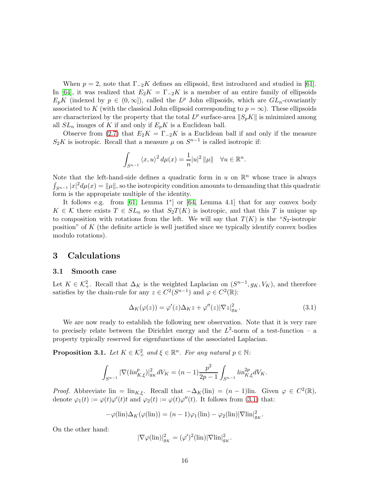When  $p = 2$ , note that  $\Gamma_{-2}K$  defines an ellipsoid, first introduced and studied in [\[61\]](#page-30-15). In [\[64\]](#page-30-6), it was realized that  $E_2K = \Gamma_{-2}K$  is a member of an entire family of ellipsoids  $E_p K$  (indexed by  $p \in (0,\infty]$ ), called the  $L^p$  John ellipsoids, which are  $GL_n$ -covariantly associated to K (with the classical John ellipsoid corresponding to  $p = \infty$ ). These ellipsoids are characterized by the property that the total  $L^p$  surface-area  $||S_pK||$  is minimized among all  $SL_n$  images of K if and only if  $E_pK$  is a Euclidean ball.

Observe from [\(2.7\)](#page-14-0) that  $E_2K = \Gamma_{-2}K$  is a Euclidean ball if and only if the measure  $S_2K$  is isotropic. Recall that a measure  $\mu$  on  $S^{n-1}$  is called isotropic if:

$$
\int_{S^{n-1}} \langle x, u \rangle^2 d\mu(x) = \frac{1}{n} |u|^2 ||\mu|| \quad \forall u \in \mathbb{R}^n.
$$

Note that the left-hand-side defines a quadratic form in u on  $\mathbb{R}^n$  whose trace is always  $\int_{S^{n-1}} |x|^2 d\mu(x) = ||\mu||$ , so the isotropicity condition amounts to demanding that this quadratic form is the appropriate multiple of the identity.

It follows e.g. from [\[61,](#page-30-15) Lemma 1<sup>\*</sup>] or [\[64,](#page-30-6) Lemma 4.1] that for any convex body  $K \in \mathcal{K}$  there exists  $T \in SL_n$  so that  $S_2T(K)$  is isotropic, and that this T is unique up to composition with rotations from the left. We will say that  $T(K)$  is the "S<sub>2</sub>-isotropic position" of K (the definite article is well justified since we typically identify convex bodies modulo rotations).

## <span id="page-15-0"></span>3 Calculations

#### 3.1 Smooth case

Let  $K \in \mathcal{K}^2_+$ . Recall that  $\Delta_K$  is the weighted Laplacian on  $(S^{n-1}, g_K, V_K)$ , and therefore satisfies by the chain-rule for any  $z \in C^2(S^{n-1})$  and  $\varphi \in C^2(\mathbb{R})$ :

<span id="page-15-1"></span>
$$
\Delta_K(\varphi(z)) = \varphi'(z)\Delta_K z + \varphi''(z)|\nabla z|_{g_K}^2.
$$
\n(3.1)

We are now ready to establish the following new observation. Note that it is very rare to precisely relate between the Dirichlet energy and the  $L^2$ -norm of a test-function – a property typically reserved for eigenfunctions of the associated Laplacian.

<span id="page-15-2"></span>**Proposition 3.1.** Let  $K \in \mathcal{K}^2_+$  and  $\xi \in \mathbb{R}^n$ . For any natural  $p \in \mathbb{N}$ :

$$
\int_{S^{n-1}} |\nabla(\lim_{K,\xi})|_{g_K}^2 dV_K = (n-1)\frac{p^2}{2p-1} \int_{S^{n-1}} \lim_{K,\xi}^2 dV_K.
$$

*Proof.* Abbreviate lin = lin<sub>K,ξ</sub>. Recall that  $-\Delta_K(\text{lin}) = (n-1)$ lin. Given  $\varphi \in C^2(\mathbb{R})$ , denote  $\varphi_1(t) := \varphi(t)\varphi'(t)t$  and  $\varphi_2(t) := \varphi(t)\varphi''(t)$ . It follows from [\(3.1\)](#page-15-1) that:

$$
-\varphi(\text{lin})\Delta_K(\varphi(\text{lin})) = (n-1)\varphi_1(\text{lin}) - \varphi_2(\text{lin})|\nabla \text{lin}|_{g_K}^2.
$$

On the other hand:

$$
|\nabla \varphi(\text{lin})|_{g_K}^2 = (\varphi')^2(\text{lin})|\nabla \text{lin}|_{g_K}^2.
$$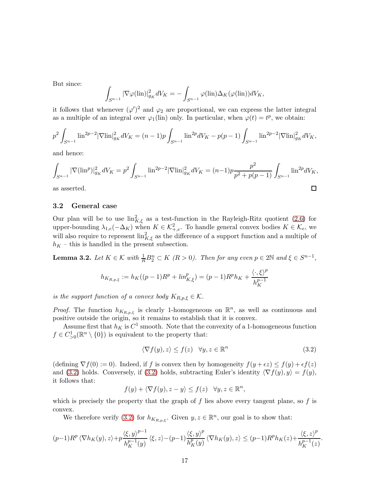But since:

J

$$
\int_{S^{n-1}} |\nabla \varphi(\lim)|_{g_K}^2 dV_K = -\int_{S^{n-1}} \varphi(\lim) \Delta_K(\varphi(\lim)) dV_K,
$$

it follows that whenever  $(\varphi')^2$  and  $\varphi_2$  are proportional, we can express the latter integral as a multiple of an integral over  $\varphi_1(\text{lin})$  only. In particular, when  $\varphi(t) = t^p$ , we obtain:

$$
p^2 \int_{S^{n-1}} \ln^{2p-2} |\nabla \ln|_{g_K}^2 dV_K = (n-1)p \int_{S^{n-1}} \ln^{2p} dV_K - p(p-1) \int_{S^{n-1}} \ln^{2p-2} |\nabla \ln|_{g_K}^2 dV_K,
$$

and hence:

$$
\int_{S^{n-1}} |\nabla(\text{lin}^p)|^2_{g_K} dV_K = p^2 \int_{S^{n-1}} \text{lin}^{2p-2} |\nabla \text{lin}|^2_{g_K} dV_K = (n-1)p \frac{p^2}{p^2 + p(p-1)} \int_{S^{n-1}} \text{lin}^{2p} dV_K,
$$
as asserted.

as asserted.

#### 3.2 General case

Our plan will be to use  $\lim_{K,\xi}^2$  as a test-function in the Rayleigh-Ritz quotient [\(2.6\)](#page-13-0) for upper-bounding  $\lambda_{1,e}(-\Delta_K)$  when  $K \in \mathcal{K}^2_{+,e}$ . To handle general convex bodies  $K \in \mathcal{K}_e$ , we will also require to represent  $\lim_{K,\xi}^2$  as the difference of a support function and a multiple of  $h_K$  – this is handled in the present subsection.

<span id="page-16-1"></span>**Lemma 3.2.** Let  $K \in \mathcal{K}$  with  $\frac{1}{R}B_2^n \subset K$   $(R > 0)$ . Then for any even  $p \in 2\mathbb{N}$  and  $\xi \in S^{n-1}$ ,

$$
h_{K_{R,p,\xi}} := h_K((p-1)R^p + \lim_{K,\xi}^p) = (p-1)R^p h_K + \frac{\langle \cdot, \xi \rangle^p}{h_K^{p-1}}
$$

is the support function of a convex body  $K_{R,p,\xi} \in \mathcal{K}$ .

*Proof.* The function  $h_{K_{R,p,\xi}}$  is clearly 1-homogeneous on  $\mathbb{R}^n$ , as well as continuous and positive outside the origin, so it remains to establish that it is convex.

Assume first that  $h_K$  is  $C^1$  smooth. Note that the convexity of a 1-homogeneous function  $f \in C_{>0}^1(\mathbb{R}^n \setminus \{0\})$  is equivalent to the property that:

<span id="page-16-0"></span>
$$
\langle \nabla f(y), z \rangle \le f(z) \quad \forall y, z \in \mathbb{R}^n \tag{3.2}
$$

(defining  $\nabla f(0) := 0$ ). Indeed, if f is convex then by homogeneity  $f(y + \epsilon z) \leq f(y) + \epsilon f(z)$ and [\(3.2\)](#page-16-0) holds. Conversely, if (3.2) holds, subtracting Euler's identity  $\langle \nabla f(y), y \rangle = f(y)$ , it follows that:

$$
f(y) + \langle \nabla f(y), z - y \rangle \le f(z) \quad \forall y, z \in \mathbb{R}^n,
$$

which is precisely the property that the graph of  $f$  lies above every tangent plane, so  $f$  is convex.

We therefore verify [\(3.2\)](#page-16-0) for  $h_{K_{R,p,\xi}}$ . Given  $y, z \in \mathbb{R}^n$ , our goal is to show that:

$$
(p-1)R^p \langle \nabla h_K(y), z \rangle + p \frac{\langle \xi, y \rangle^{p-1}}{h_K^{p-1}(y)} \langle \xi, z \rangle - (p-1) \frac{\langle \xi, y \rangle^p}{h_K^p(y)} \langle \nabla h_K(y), z \rangle \le (p-1)R^p h_K(z) + \frac{\langle \xi, z \rangle^p}{h_K^{p-1}(z)}.
$$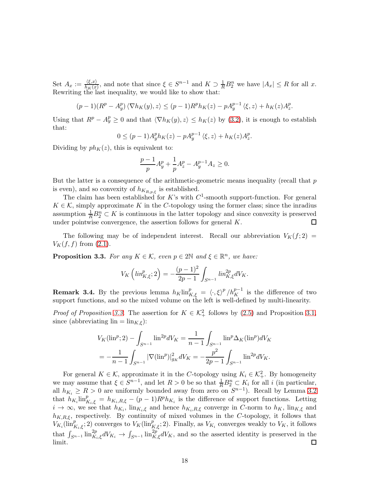Set  $A_x := \frac{\langle \xi, x \rangle}{h_K(x)}$  $\frac{\langle \xi, x \rangle}{h_K(x)}$ , and note that since  $\xi \in S^{n-1}$  and  $K \supset \frac{1}{R} B_2^n$  we have  $|A_x| \le R$  for all x. Rewriting the last inequality, we would like to show that:

$$
(p-1)(R^p - A_y^p) \langle \nabla h_K(y), z \rangle \le (p-1)R^p h_K(z) - pA_y^{p-1} \langle \xi, z \rangle + h_K(z)A_z^p.
$$

Using that  $R^p - A_y^p \ge 0$  and that  $\langle \nabla h_K(y), z \rangle \le h_K(z)$  by [\(3.2\)](#page-16-0), it is enough to establish that:

$$
0 \le (p-1)A_y^p h_K(z) - pA_y^{p-1} \langle \xi, z \rangle + h_K(z)A_z^p.
$$

Dividing by  $ph_K(z)$ , this is equivalent to:

$$
\frac{p-1}{p}A_y^p + \frac{1}{p}A_z^p - A_y^{p-1}A_z \ge 0.
$$

But the latter is a consequence of the arithmetic-geometric means inequality (recall that  $p$ is even), and so convexity of  $h_{K_{R,p,\xi}}$  is established.

The claim has been established for K's with  $C^1$ -smooth support-function. For general  $K \in \mathcal{K}$ , simply approximate K in the C-topology using the former class; since the inradius assumption  $\frac{1}{R}B_2^n \subset K$  is continuous in the latter topology and since convexity is preserved under pointwise convergence, the assertion follows for general  $K$ .  $\Box$ 

The following may be of independent interest. Recall our abbreviation  $V_K(f; 2)$  $V_K(f, f)$  from  $(2.1)$ .

<span id="page-17-0"></span>**Proposition 3.3.** For any  $K \in \mathcal{K}$ , even  $p \in 2\mathbb{N}$  and  $\xi \in \mathbb{R}^n$ , we have:

$$
V_K\left(\lim_{K,\xi}^p;2\right) = -\frac{(p-1)^2}{2p-1} \int_{S^{n-1}} \lim_{K,\xi}^{2p} dV_K.
$$

**Remark 3.4.** By the previous lemma  $h_K \text{lin}_{K,\xi}^p = \langle \cdot, \xi \rangle^p / h_K^{p-1}$  is the difference of two support functions, and so the mixed volume on the left is well-defined by multi-linearity.

*Proof of Proposition [3.3.](#page-17-0)* The assertion for  $K \in \mathcal{K}^2_+$  follows by [\(2.5\)](#page-13-1) and Proposition [3.1,](#page-15-2) since (abbreviating  $\lim = \lim_{K,\xi}$ ):

$$
V_K(\mathrm{lin}^p; 2) - \int_{S^{n-1}} \mathrm{lin}^{2p} dV_K = \frac{1}{n-1} \int_{S^{n-1}} \mathrm{lin}^p \Delta_K(\mathrm{lin}^p) dV_K
$$
  
= 
$$
-\frac{1}{n-1} \int_{S^{n-1}} |\nabla(\mathrm{lin}^p)|_{g_K}^2 dV_K = -\frac{p^2}{2p-1} \int_{S^{n-1}} \mathrm{lin}^{2p} dV_K.
$$

For general  $K \in \mathcal{K}$ , approximate it in the C-topology using  $K_i \in \mathcal{K}^2_+$ . By homogeneity we may assume that  $\xi \in S^{n-1}$ , and let  $R > 0$  be so that  $\frac{1}{R}B_2^n \subset K_i$  for all i (in particular, all  $h_{K_i} \geq R > 0$  are uniformly bounded away from zero on  $S^{n-1}$ ). Recall by Lemma [3.2](#page-16-1) that  $h_{K_i}$ lin $_{K_i,\xi}^p = h_{K_i,R,\xi} - (p-1)R^p h_{K_i}$  is the difference of support functions. Letting  $i \to \infty$ , we see that  $h_{K_i}$ ,  $\lim_{K_i,\xi}$  and hence  $h_{K_i,R,\xi}$  converge in C-norm to  $h_K$ ,  $\lim_{K_i,\xi}$  and  $h_{K,R,\xi}$ , respectively. By continuity of mixed volumes in the C-topology, it follows that  $V_{K_i}(\text{lin}_{K_i,\xi}^p;2)$  converges to  $V_K(\text{lin}_{K,\xi}^p;2)$ . Finally, as  $V_{K_i}$  converges weakly to  $V_K$ , it follows that  $\int_{S^{n-1}} \text{lin}_{K_i,\xi}^{2p} dV_{K_i} \to \int_{S^{n-1}} \text{lin}_{K,\xi}^{2p} dV_K$ , and so the asserted identity is preserved in the limit.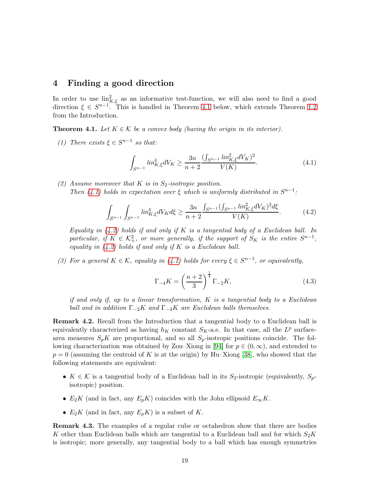## <span id="page-18-2"></span>4 Finding a good direction

In order to use  $\lim_{k \to \infty}^2$  as an informative test-function, we will also need to find a good direction  $\xi \in S^{n-1}$ . This is handled in Theorem [4.1](#page-18-0) below, which extends Theorem [1.2](#page-5-1) from the Introduction.

<span id="page-18-0"></span>**Theorem 4.1.** Let  $K \in \mathcal{K}$  be a convex body (having the origin in its interior).

(1) There exists  $\xi \in S^{n-1}$  so that:

<span id="page-18-3"></span>
$$
\int_{S^{n-1}} lin_{K,\xi}^4 dV_K \ge \frac{3n}{n+2} \frac{(\int_{S^{n-1}} lin_{K,\xi}^2 dV_K)^2}{V(K)}.
$$
\n(4.1)

(2) Assume moreover that K is in  $S_2$ -isotropic position. Then [\(4.1\)](#page-18-3) holds in expectation over  $\xi$  which is uniformly distributed in  $S^{n-1}$ :

<span id="page-18-4"></span>
$$
\int_{S^{n-1}} \int_{S^{n-1}} lin_{K,\xi}^4 dV_K d\xi \ge \frac{3n}{n+2} \frac{\int_{S^{n-1}} (\int_{S^{n-1}} lin_{K,\xi}^2 dV_K)^2 d\xi}{V(K)}.
$$
 (4.2)

Equality in  $(4.2)$  holds if and only if K is a tangential body of a Euclidean ball. In particular, if  $K \in \mathcal{K}^2_+$ , or more generally, if the support of  $S_K$  is the entire  $S^{n-1}$ , equality in  $(4.2)$  holds if and only if K is a Euclidean ball.

<span id="page-18-5"></span>(3) For a general  $K \in \mathcal{K}$ , equality in [\(4.1\)](#page-18-3) holds for every  $\xi \in S^{n-1}$ , or equivalently,

<span id="page-18-6"></span>
$$
\Gamma_{-4}K = \left(\frac{n+2}{3}\right)^{\frac{1}{4}}\Gamma_{-2}K,\tag{4.3}
$$

if and only if, up to a linear transformation, K is a tangential body to a Euclidean ball and in addition  $\Gamma_{-2}K$  and  $\Gamma_{-4}K$  are Euclidean balls themselves.

Remark 4.2. Recall from the Introduction that a tangential body to a Euclidean ball is equivalently characterized as having  $h_K$  constant  $S_K$ -a.e. In that case, all the  $L^p$  surfacearea measures  $S_p K$  are proportional, and so all  $S_p$ -isotropic positions coincide. The fol-lowing characterization was obtained by Zou–Xiong in [\[94\]](#page-31-14) for  $p \in (0,\infty)$ , and extended to  $p = 0$  (assuming the centroid of K is at the origin) by Hu–Xiong [\[38\]](#page-29-14), who showed that the following statements are equivalent:

- $K \in \mathcal{K}$  is a tangential body of a Euclidean ball in its  $S_2$ -isotropic (equivalently,  $S_n$ isotropic) position.
- $E_2K$  (and in fact, any  $E_pK$ ) coincides with the John ellipsoid  $E_{\infty}K$ .
- $E_2K$  (and in fact, any  $E_pK$ ) is a subset of K.

<span id="page-18-1"></span>Remark 4.3. The examples of a regular cube or octahedron show that there are bodies K other than Euclidean balls which are tangential to a Euclidean ball and for which  $S_2K$ is isotropic; more generally, any tangential body to a ball which has enough symmetries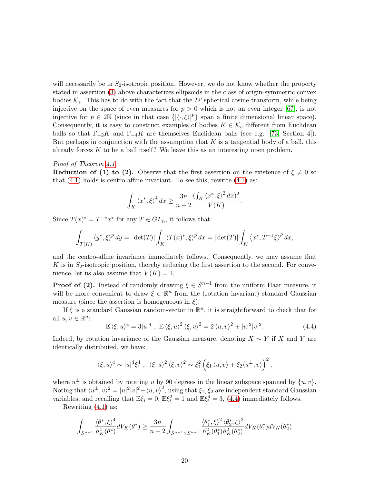will necessarily be in  $S_2$ -isotropic position. However, we do not know whether the property stated in assertion [\(3\)](#page-18-5) above characterizes ellipsoids in the class of origin-symmetric convex bodies  $\mathcal{K}_e$ . This has to do with the fact that the  $L^p$  spherical cosine-transform, while being injective on the space of even measures for  $p > 0$  which is not an even integer [\[67\]](#page-30-16), is not injective for  $p \in 2\mathbb{N}$  (since in that case  $\{|\langle \cdot, \xi \rangle|^p\}$  span a finite dimensional linear space). Consequently, it is easy to construct examples of bodies  $K \in \mathcal{K}_e$  different from Euclidean balls so that  $\Gamma_{-2}K$  and  $\Gamma_{-4}K$  are themselves Euclidean balls (see e.g. [\[73,](#page-30-17) Section 4]). But perhaps in conjunction with the assumption that  $K$  is a tangential body of a ball, this already forces  $K$  to be a ball itself? We leave this as an interesting open problem.

#### Proof of Theorem [4.1.](#page-18-0)

**Reduction of (1) to (2).** Observe that the first assertion on the existence of  $\xi \neq 0$  so that  $(4.1)$  holds is centro-affine invariant. To see this, rewrite  $(4.1)$  as:

$$
\int_K \left\langle x^*, \xi \right\rangle^4 dx \ge \frac{3n}{n+2} \frac{\left( \int_K \left\langle x^*, \xi \right\rangle^2 dx \right)^2}{V(K)}.
$$

Since  $T(x)^* = T^{-*}x^*$  for any  $T \in GL_n$ , it follows that:

$$
\int_{T(K)} \langle y^*, \xi \rangle^p dy = |\det(T)| \int_K \langle T(x)^*, \xi \rangle^p dx = |\det(T)| \int_K \langle x^*, T^{-1} \xi \rangle^p dx,
$$

and the centro-affine invariance immediately follows. Consequently, we may assume that K is in  $S_2$ -isotropic position, thereby reducing the first assertion to the second. For convenience, let us also assume that  $V(K) = 1$ .

**Proof of (2).** Instead of randomly drawing  $\xi \in S^{n-1}$  from the uniform Haar measure, it will be more convenient to draw  $\xi \in \mathbb{R}^n$  from the (rotation invariant) standard Gaussian measure (since the assertion is homogeneous in  $\xi$ ).

If  $\xi$  is a standard Gaussian random-vector in  $\mathbb{R}^n$ , it is straightforward to check that for all  $u, v \in \mathbb{R}^n$ :

<span id="page-19-0"></span>
$$
\mathbb{E}\left\langle \xi, u \right\rangle^4 = 3|u|^4 \, , \, \mathbb{E}\left\langle \xi, u \right\rangle^2 \left\langle \xi, v \right\rangle^2 = 2\left\langle u, v \right\rangle^2 + |u|^2|v|^2. \tag{4.4}
$$

Indeed, by rotation invariance of the Gaussian measure, denoting  $X \sim Y$  if X and Y are identically distributed, we have:

$$
\langle \xi, u \rangle^4 \sim |u|^4 \xi_1^4 \ , \ \langle \xi, u \rangle^2 \langle \xi, v \rangle^2 \sim \xi_1^2 \left( \xi_1 \langle u, v \rangle + \xi_2 \langle u^\perp, v \rangle \right)^2,
$$

where  $u^{\perp}$  is obtained by rotating u by 90 degrees in the linear subspace spanned by  $\{u, v\}$ . Noting that  $\langle u^\perp, v \rangle^2 = |u|^2 |v|^2 - \langle u, v \rangle^2$ , using that  $\xi_1, \xi_2$  are independent standard Gaussian variables, and recalling that  $\mathbb{E}\xi_i = 0$ ,  $\mathbb{E}\xi_i^2 = 1$  and  $\mathbb{E}\xi_i^4 = 3$ , [\(4.4\)](#page-19-0) immediately follows.

Rewriting [\(4.1\)](#page-18-3) as:

$$
\int_{S^{n-1}} \frac{\langle \theta^*, \xi \rangle^4}{h_K^4(\theta^*)} dV_K(\theta^*) \ge \frac{3n}{n+2} \int_{S^{n-1} \times S^{n-1}} \frac{\langle \theta_1^*, \xi \rangle^2 \langle \theta_2^*, \xi \rangle^2}{h_K^2(\theta_1^*) h_K^2(\theta_2^*)} dV_K(\theta_1^*) dV_K(\theta_2^*)
$$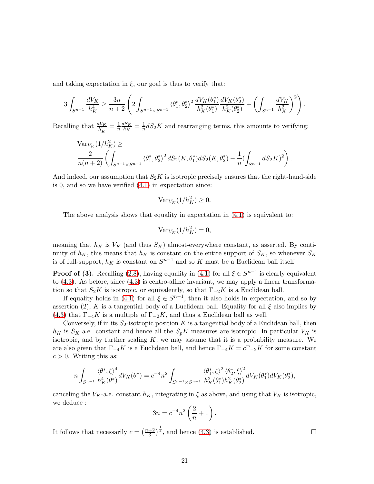and taking expectation in  $\xi$ , our goal is thus to verify that:

$$
3\int_{S^{n-1}}\frac{dV_K}{h_K^4}\geq \frac{3n}{n+2}\left(2\int_{S^{n-1}\times S^{n-1}}\left\langle \theta_1^*,\theta_2^*\right\rangle^2\frac{dV_K(\theta_1^*)}{h_K^2(\theta_1^*)}\frac{dV_K(\theta_2^*)}{h_K^2(\theta_2^*)}+\left(\int_{S^{n-1}}\frac{dV_K}{h_K^2}\right)^2\right).
$$

Recalling that  $\frac{dV_K}{h_K^2} = \frac{1}{n}$  $rac{1}{n} \frac{dS_K}{h_K}$  $\frac{dS_K}{h_K} = \frac{1}{n}$  $\frac{1}{n}$ d $S_2K$  and rearranging terms, this amounts to verifying:

$$
\operatorname{Var}_{V_K}(1/h_K^2) \ge \frac{2}{n(n+2)} \left( \int_{S^{n-1} \times S^{n-1}} \langle \theta_1^*, \theta_2^* \rangle^2 dS_2(K, \theta_1^*) dS_2(K, \theta_2^*) - \frac{1}{n} \left( \int_{S^{n-1}} dS_2(K) \right)^2 \right).
$$

And indeed, our assumption that  $S_2K$  is isotropic precisely ensures that the right-hand-side is 0, and so we have verified [\(4.1\)](#page-18-3) in expectation since:

$$
\text{Var}_{V_K}(1/h_K^2) \ge 0.
$$

The above analysis shows that equality in expectation in [\(4.1\)](#page-18-3) is equivalent to:

$$
\text{Var}_{V_K}(1/h_K^2) = 0,
$$

meaning that  $h_K$  is  $V_K$  (and thus  $S_K$ ) almost-everywhere constant, as asserted. By continuity of  $h_K$ , this means that  $h_K$  is constant on the entire support of  $S_K$ , so whenever  $S_K$ is of full-support,  $h_K$  is constant on  $S^{n-1}$  and so K must be a Euclidean ball itself.

**Proof of (3).** Recalling [\(2.8\)](#page-14-1), having equality in [\(4.1\)](#page-18-3) for all  $\xi \in S^{n-1}$  is clearly equivalent to [\(4.3\)](#page-18-6). As before, since [\(4.3\)](#page-18-6) is centro-affine invariant, we may apply a linear transformation so that  $S_2K$  is isotropic, or equivalently, so that  $\Gamma_{-2}K$  is a Euclidean ball.

If equality holds in [\(4.1\)](#page-18-3) for all  $\xi \in S^{n-1}$ , then it also holds in expectation, and so by assertion (2), K is a tangential body of a Euclidean ball. Equality for all  $\xi$  also implies by [\(4.3\)](#page-18-6) that  $\Gamma_{-4}K$  is a multiple of  $\Gamma_{-2}K$ , and thus a Euclidean ball as well.

Conversely, if in its  $S_2$ -isotropic position K is a tangential body of a Euclidean ball, then  $h_K$  is  $S_K$ -a.e. constant and hence all the  $S_pK$  measures are isotropic. In particular  $V_K$  is isotropic, and by further scaling  $K$ , we may assume that it is a probability measure. We are also given that  $\Gamma_{-4}K$  is a Euclidean ball, and hence  $\Gamma_{-4}K = c\Gamma_{-2}K$  for some constant  $c > 0$ . Writing this as:

$$
n\int_{S^{n-1}}\frac{\langle \theta^*,\xi \rangle^4}{h_K^4(\theta^*)}dV_K(\theta^*) = c^{-4}n^2\int_{S^{n-1}\times S^{n-1}}\frac{\langle \theta_1^*,\xi \rangle^2\langle \theta_2^*,\xi \rangle^2}{h_K^2(\theta_1^*)h_K^2(\theta_2^*)}dV_K(\theta_1^*)dV_K(\theta_2^*),
$$

canceling the  $V_K$ -a.e. constant  $h_K$ , integrating in  $\xi$  as above, and using that  $V_K$  is isotropic, we deduce :

$$
3n = c^{-4}n^2 \left(\frac{2}{n} + 1\right).
$$

It follows that necessarily  $c = \left(\frac{n+2}{3}\right)$  $\frac{+2}{3}$ , and hence [\(4.3\)](#page-18-6) is established.

 $\Box$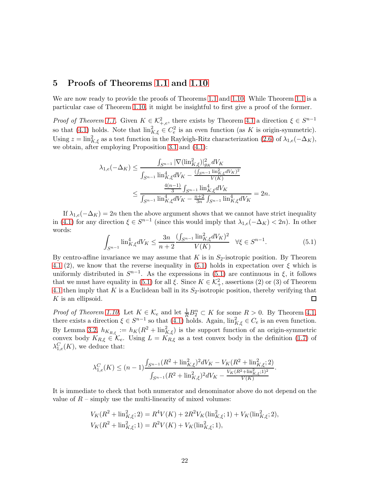## <span id="page-21-0"></span>5 Proofs of Theorems [1.1](#page-3-0) and [1.10](#page-9-0)

We are now ready to provide the proofs of Theorems [1.1](#page-3-0) and [1.10.](#page-9-0) While Theorem [1.1](#page-3-0) is a particular case of Theorem [1.10,](#page-9-0) it might be insightful to first give a proof of the former.

*Proof of Theorem [1.1.](#page-3-0)* Given  $K \in \mathcal{K}^2_{+,e}$ , there exists by Theorem [4.1](#page-18-0) a direction  $\xi \in S^{n-1}$ so that [\(4.1\)](#page-18-3) holds. Note that  $\lim_{K,\xi}^2 \in C_e^2$  is an even function (as K is origin-symmetric). Using  $z = \lim_{K,\xi}^2$  as a test function in the Rayleigh-Ritz characterization [\(2.6\)](#page-13-0) of  $\lambda_{1,e}(-\Delta_K)$ , we obtain, after employing Proposition [3.1](#page-15-2) and [\(4.1\)](#page-18-3):

$$
\lambda_{1,e}(-\Delta_K) \le \frac{\int_{S^{n-1}} |\nabla(\text{lin}_{K,\xi}^2)|_{g_K}^2 dV_K}{\int_{S^{n-1}} \text{lin}_{K,\xi}^4 dV_K - \frac{(\int_{S^{n-1}} \text{lin}_{K,\xi}^2 dV_K)^2}{V(K)}} \le \frac{\frac{4(n-1)}{3} \int_{S^{n-1}} \text{lin}_{K,\xi}^4 dV_K}{\int_{S^{n-1}} \text{lin}_{K,\xi}^4 dV_K - \frac{n+2}{3n} \int_{S^{n-1}} \text{lin}_{K,\xi}^4 dV_K} = 2n.
$$

If  $\lambda_{1,e}(-\Delta_K) = 2n$  then the above argument shows that we cannot have strict inequality in [\(4.1\)](#page-18-3) for any direction  $\xi \in S^{n-1}$  (since this would imply that  $\lambda_{1,e}(-\Delta_K) < 2n$ ). In other words:

<span id="page-21-1"></span>
$$
\int_{S^{n-1}} \ln_{K,\xi}^4 dV_K \le \frac{3n}{n+2} \frac{(\int_{S^{n-1}} \ln_{K,\xi}^2 dV_K)^2}{V(K)} \quad \forall \xi \in S^{n-1}.\tag{5.1}
$$

By centro-affine invariance we may assume that  $K$  is in  $S_2$ -isotropic position. By Theorem [4.1](#page-18-0) (2), we know that the reverse inequality in [\(5.1\)](#page-21-1) holds in expectation over  $\xi$  which is uniformly distributed in  $S^{n-1}$ . As the expressions in [\(5.1\)](#page-21-1) are continuous in  $\xi$ , it follows that we must have equality in [\(5.1\)](#page-21-1) for all  $\xi$ . Since  $K \in \mathcal{K}^2_+$ , assertions (2) or (3) of Theorem [4.1](#page-18-0) then imply that K is a Euclidean ball in its  $S_2$ -isotropic position, thereby verifying that  $K$  is an ellipsoid.  $\Box$ 

*Proof of Theorem [1.10.](#page-9-0)* Let  $K \in \mathcal{K}_e$  and let  $\frac{1}{R}B_2^n \subset K$  for some  $R > 0$ . By Theorem [4.1,](#page-18-0) there exists a direction  $\xi \in S^{n-1}$  so that  $(4.1)$  holds. Again,  $\lim_{K,\xi}^2 \in C_e$  is an even function. By Lemma [3.2,](#page-16-1)  $h_{K_{R,\xi}} := h_K(R^2 + \text{lin}_{K,\xi}^2)$  is the support function of an origin-symmetric convex body  $K_{R,\xi} \in \mathcal{K}_e$ . Using  $L = K_{R,\xi}$  as a test convex body in the definition [\(1.7\)](#page-9-1) of  $\lambda_{1,e}^C(K)$ , we deduce that:

$$
\lambda_{1,e}^C(K) \le (n-1) \frac{\int_{S^{n-1}} (R^2 + \text{lin}_{K,\xi}^2)^2 dV_K - V_K(R^2 + \text{lin}_{K,\xi}^2; 2)}{\int_{S^{n-1}} (R^2 + \text{lin}_{K,\xi}^2)^2 dV_K - \frac{V_K(R^2 + \text{lin}_{K,\xi}^2; 1)^2}{V(K)}}.
$$

It is immediate to check that both numerator and denominator above do not depend on the value of  $R$  – simply use the multi-linearity of mixed volumes:

$$
V_K(R^2 + \text{lin}_{K,\xi}^2; 2) = R^4 V(K) + 2R^2 V_K(\text{lin}_{K,\xi}^2; 1) + V_K(\text{lin}_{K,\xi}^2; 2),
$$
  

$$
V_K(R^2 + \text{lin}_{K,\xi}^2; 1) = R^2 V(K) + V_K(\text{lin}_{K,\xi}^2; 1),
$$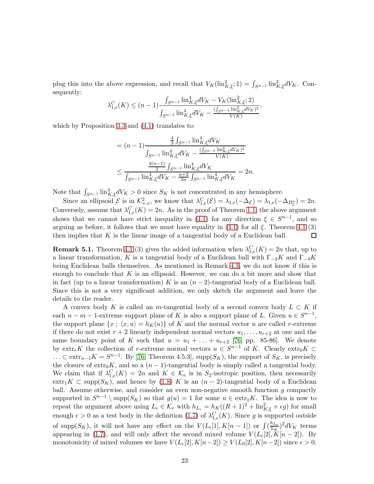plug this into the above expression, and recall that  $V_K(\text{lin}^2_{K,\xi}; 1) = \int_{S^{n-1}} \text{lin}^2_{K,\xi} dV_K$ . Consequently:

$$
\lambda_{1,e}^C(K) \le (n-1) \frac{\int_{S^{n-1}} \ln_{K,\xi}^4 dV_K - V_K(\text{lin}_{K,\xi}^2; 2)}{\int_{S^{n-1}} \ln_{K,\xi}^4 dV_K - \frac{\left(\int_{S^{n-1}} \text{lin}_{K,\xi}^2 dV_K\right)^2}{V(K)}},
$$

which by Proposition [3.3](#page-17-0) and [\(4.1\)](#page-18-3) translates to:

$$
= (n - 1) \frac{\frac{4}{3} \int_{S^{n-1}} \lim_{K,\xi}^{4} dV_{K}}{\int_{S^{n-1}} \lim_{K,\xi}^{4} dV_{K} - \frac{(\int_{S^{n-1}} \lim_{K,\xi}^{2} dV_{K})^{2}}{V(K)}} \leq \frac{\frac{4(n-1)}{3} \int_{S^{n-1}} \lim_{K,\xi}^{4} dV_{K}}{\int_{S^{n-1}} \lim_{K,\xi}^{4} dV_{K} - \frac{n+2}{3n} \int_{S^{n-1}} \lim_{K,\xi}^{4} dV_{K}} = 2n.
$$

Note that  $\int_{S^{n-1}} \text{lin}_{K,\xi}^4 dV_K > 0$  since  $S_K$  is not concentrated in any hemisphere.

Since an ellipsoid  $\mathcal{E}$  is in  $\mathcal{K}^2_{+,e}$ , we know that  $\lambda_{1,e}^C(\mathcal{E}) = \lambda_{1,e}(-\Delta_{\mathcal{E}}) = \lambda_{1,e}(-\Delta_{B_2^n}) = 2n$ . Conversely, assume that  $\lambda_{1,e}^C(K) = 2n$ . As in the proof of Theorem [1.1,](#page-3-0) the above argument shows that we cannot have strict inequality in [\(4.1\)](#page-18-3) for any direction  $\xi \in S^{n-1}$ , and so arguing as before, it follows that we must have equality in  $(4.1)$  for all  $\xi$ . Theorem [4.1](#page-18-0) (3) then implies that  $K$  is the linear image of a tangential body of a Euclidean ball.  $\Box$ 

<span id="page-22-0"></span>**Remark 5.1.** Theorem [4.1](#page-18-0) (3) gives the added information when  $\lambda_{1,e}^C(K) = 2n$  that, up to a linear transformation, K is a tangential body of a Euclidean ball with  $\Gamma_{-2}K$  and  $\Gamma_{-4}K$ being Euclidean balls themselves. As mentioned in Remark [4.3,](#page-18-1) we do not know if this is enough to conclude that  $K$  is an ellipsoid. However, we can do a bit more and show that in fact (up to a linear transformation) K is an  $(n-2)$ -tangential body of a Euclidean ball. Since this is not a very significant addition, we only sketch the argument and leave the details to the reader.

A convex body K is called an m-tangential body of a second convex body  $L \subset K$  if each  $n - m - 1$ -extreme support plane of K is also a support plane of L. Given  $u \in S^{n-1}$ , the support plane  $\{x : \langle x, u \rangle = h_K(u)\}$  of K and the normal vector u are called r-extreme if there do not exist  $r + 2$  linearly independent normal vectors  $u_1, \ldots, u_{r+2}$  at one and the same boundary point of K such that  $u = u_1 + \ldots + u_{r+2}$  [\[76,](#page-30-0) pp. 85-86]. We denote by  $\text{extr}_{r}K$  the collection of r-extreme normal vectors  $u \in S^{n-1}$  of K. Clearly  $\text{extr}_{0}K \subset$ ... ⊂ extr<sub>n−1</sub>K =  $S^{n-1}$ . By [\[76,](#page-30-0) Theorem 4.5.3], supp( $S_K$ ), the support of  $S_K$ , is precisely the closure of  $\exp K$ , and so a  $(n-1)$ -tangential body is simply called a tangential body. We claim that if  $\lambda_{1,e}^C(K) = 2n$  and  $K \in \mathcal{K}_e$  is in S<sub>2</sub>-isotropic position, then necessarily extr<sub>1</sub>K ⊂ supp( $S_K$ ), and hence by [\(1.8\)](#page-9-2) K is an  $(n-2)$ -tangential body of a Euclidean ball. Assume otherwise, and consider an even non-negative smooth function  $g$  compactly supported in  $S^{n-1} \setminus \text{supp}(S_K)$  so that  $g(u) = 1$  for some  $u \in \text{extr}_1K$ . The idea is now to repeat the argument above using  $L_{\epsilon} \in \mathcal{K}_e$  with  $h_{L_{\epsilon}} = h_K((R+1)^2 + \text{lin}^2_{K,\xi} + \epsilon g)$  for small enough  $\epsilon > 0$  as a test body in the definition [\(1.7\)](#page-9-1) of  $\lambda_{1,e}^C(K)$ . Since g is supported outside of supp $(S_K)$ , it will not have any effect on the  $V(L_{\epsilon}[1], K[n-1])$  or  $\int_{K}^{h_{L_{\epsilon}}}$  $\frac{h_{L\epsilon}}{h_K}$ <sup>2</sup>dV<sub>K</sub> terms appearing in [\(1.7\)](#page-9-1), and will only affect the second mixed volume  $V(L_{\epsilon}[2], K[n-2])$ . By monotonicity of mixed volumes we have  $V(L_{\epsilon}[2], K[n-2]) \ge V(L_0[2], K[n-2])$  since  $\epsilon > 0$ .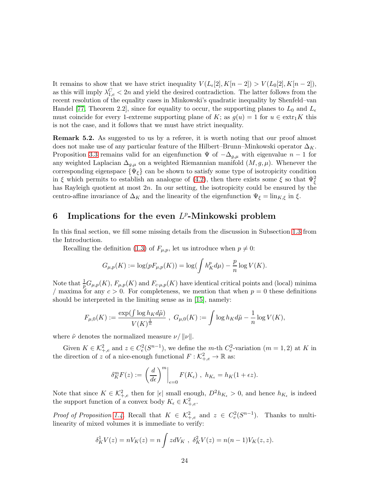It remains to show that we have strict inequality  $V(L_{\epsilon}[2], K[n-2]) > V(L_0[2], K[n-2]),$ as this will imply  $\lambda_{1,e}^C < 2n$  and yield the desired contradiction. The latter follows from the recent resolution of the equality cases in Minkowski's quadratic inequality by Shenfeld–van Handel [\[77,](#page-30-18) Theorem 2.2], since for equality to occur, the supporting planes to  $L_0$  and  $L_\epsilon$ must coincide for every 1-extreme supporting plane of K; as  $g(u) = 1$  for  $u \in \text{extr}_1K$  this is not the case, and it follows that we must have strict inequality.

Remark 5.2. As suggested to us by a referee, it is worth noting that our proof almost does not make use of any particular feature of the Hilbert–Brunn–Minkowski operator  $\Delta_K$ . Proposition [3.3](#page-17-0) remains valid for an eigenfunction  $\Psi$  of  $-\Delta_{q,\mu}$  with eigenvalue  $n-1$  for any weighted Laplacian  $\Delta_{g,\mu}$  on a weighted Riemannian manifold  $(M, g, \mu)$ . Whenever the corresponding eigenspace  $\{\Psi_{\xi}\}\$ can be shown to satisfy some type of isotropicity condition in  $\xi$  which permits to establish an analogue of [\(4.2\)](#page-18-4), then there exists some  $\xi$  so that  $\Psi_{\xi}^2$ has Rayleigh quotient at most  $2n$ . In our setting, the isotropicity could be ensured by the centro-affine invariance of  $\Delta_K$  and the linearity of the eigenfunction  $\Psi_{\xi} = \lim_{K, \xi}$  in  $\xi$ .

## <span id="page-23-0"></span>6 Implications for the even  $L^p$ -Minkowski problem

In this final section, we fill some missing details from the discussion in Subsection [1.3](#page-5-4) from the Introduction.

Recalling the definition [\(1.3\)](#page-5-2) of  $F_{\mu,p}$ , let us introduce when  $p \neq 0$ :

$$
G_{\mu,p}(K) := \log(pF_{\mu,p}(K)) = \log(\int h_K^p d\mu) - \frac{p}{n} \log V(K).
$$

Note that  $\frac{1}{p}G_{\mu,p}(K)$ ,  $F_{\mu,p}(K)$  and  $F_{c\mu,p}(K)$  have identical critical points and (local) minima / maxima for any  $c > 0$ . For completeness, we mention that when  $p = 0$  these definitions should be interpreted in the limiting sense as in [\[15\]](#page-27-8), namely:

$$
F_{\mu,0}(K):=\frac{\exp(\int \log h_K d\tilde \mu)}{V(K)^{\frac{1}{n}}} \ , \ G_{\mu,0}(K):=\int \log h_K d\tilde \mu - \frac{1}{n} \log V(K),
$$

where  $\tilde{\nu}$  denotes the normalized measure  $\nu/||\nu||$ .

Given  $K \in \mathcal{K}^2_{+,e}$  and  $z \in C^2_e(S^{n-1})$ , we define the m-th  $C^2_e$ -variation  $(m = 1, 2)$  at K in the direction of z of a nice-enough functional  $F : \mathcal{K}^2_{+,e} \to \mathbb{R}$  as:

$$
\delta_K^m F(z) := \left. \left( \frac{d}{d\epsilon} \right)^m \right|_{\epsilon=0} F(K_{\epsilon}), \ h_{K_{\epsilon}} = h_K(1 + \epsilon z).
$$

Note that since  $K \in \mathcal{K}^2_{+,e}$  then for  $|\epsilon|$  small enough,  $D^2 h_{K_{\epsilon}} > 0$ , and hence  $h_{K_{\epsilon}}$  is indeed the support function of a convex body  $K_{\epsilon} \in \mathcal{K}_{+,e}^2$ .

*Proof of Proposition [1.4.](#page-6-1)* Recall that  $K \in \mathcal{K}^2_{+,e}$  and  $z \in C^2_e(S^{n-1})$ . Thanks to multilinearity of mixed volumes it is immediate to verify:

$$
\delta_K^1 V(z) = nV_K(z) = n \int z dV_K , \ \delta_K^2 V(z) = n(n-1)V_K(z, z).
$$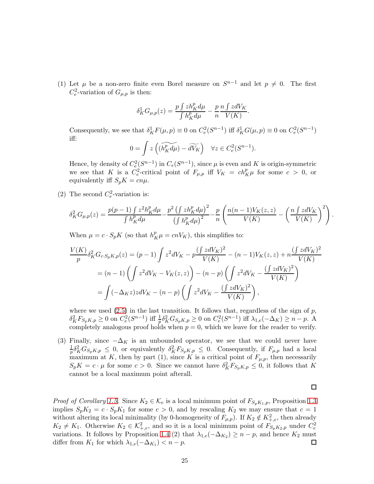(1) Let  $\mu$  be a non-zero finite even Borel measure on  $S^{n-1}$  and let  $p \neq 0$ . The first  $C_e^2$ -variation of  $G_{\mu,p}$  is then:

$$
\delta^1_K G_{\mu,p}(z)=\frac{p\int zh^p_K d\mu}{\int h^p_K d\mu}-\frac{p}{n}\frac{n\int zdV_K}{V(K)}
$$

.

Consequently, we see that  $\delta_K^1 F(\mu, p) \equiv 0$  on  $C_e^2(S^{n-1})$  iff  $\delta_K^1 G(\mu, p) \equiv 0$  on  $C_e^2(S^{n-1})$ iff:

$$
0 = \int z \left( (\widetilde{h_K^p} d\mu) - d\widetilde{V_K} \right) \quad \forall z \in C_e^2(S^{n-1}).
$$

Hence, by density of  $C_e^2(S^{n-1})$  in  $C_e(S^{n-1})$ , since  $\mu$  is even and K is origin-symmetric we see that K is a  $C_e^2$ -critical point of  $F_{\mu,p}$  iff  $V_K = ch_K^p \mu$  for some  $c > 0$ , or equivalently iff  $S_pK = cn\mu$ .

(2) The second  $C_e^2$ -variation is:

$$
\delta_K^2 G_{\mu,p}(z) = \frac{p(p-1)\int z^2 h_K^p d\mu}{\int h_K^p d\mu} - \frac{p^2\left(\int zh_K^p d\mu\right)^2}{\left(\int h_K^p d\mu\right)^2} - \frac{p}{n} \left(\frac{n(n-1)V_K(z,z)}{V(K)} - \left(\frac{n\int z dV_K}{V(K)}\right)^2\right).
$$

When  $\mu = c \cdot S_p K$  (so that  $h_K^p \mu = cnV_K$ ), this simplifies to:

$$
\frac{V(K)}{p} \delta_K^2 G_{c \cdot S_p K, p}(z) = (p - 1) \int z^2 dV_K - p \frac{(\int z dV_K)^2}{V(K)} - (n - 1) V_K(z, z) + n \frac{(\int z dV_K)^2}{V(K)}
$$
  
=  $(n - 1) \left( \int z^2 dV_K - V_K(z, z) \right) - (n - p) \left( \int z^2 dV_K - \frac{(\int z dV_K)^2}{V(K)} \right)$   
=  $\int (-\Delta_K z) z dV_K - (n - p) \left( \int z^2 dV_K - \frac{(\int z dV_K)^2}{V(K)} \right),$ 

where we used  $(2.5)$  in the last transition. It follows that, regardless of the sign of p,  $\delta_K^2 F_{S_p K, p} \ge 0$  on  $C_e^2 (S^{n-1})$  iff  $\frac{1}{p} \delta_K^2 G_{S_p K, p} \ge 0$  on  $C_e^2 (S^{n-1})$  iff  $\lambda_{1, e}(-\Delta_K) \ge n - p$ . A completely analogous proof holds when  $p = 0$ , which we leave for the reader to verify.

(3) Finally, since  $-\Delta_K$  is an unbounded operator, we see that we could never have 1  $\frac{1}{p}\delta_K^2 G_{S_p K,p} \leq 0$ , or equivalently  $\delta_K^2 F_{S_p K,p} \leq 0$ . Consequently, if  $F_{\mu,p}$  had a local maximum at K, then by part (1), since K is a critical point of  $F_{\mu,p}$ , then necessarily  $S_p K = c \cdot \mu$  for some  $c > 0$ . Since we cannot have  $\delta_K^2 F_{S_p K, p} \leq 0$ , it follows that K cannot be a local maximum point afterall.

 $\Box$ 

*Proof of Corollary [1.5.](#page-6-2)* Since  $K_2 \in \mathcal{K}_e$  is a local minimum point of  $F_{S_pK_1,p}$ , Proposition [1.3](#page-6-0) implies  $S_p K_2 = c \cdot S_p K_1$  for some  $c > 0$ , and by rescaling  $K_2$  we may ensure that  $c = 1$ without altering its local minimality (by 0-homogeneity of  $F_{\mu,p}$ ). If  $K_2 \notin K^2_{+,e}$ , then already  $K_2 \neq K_1$ . Otherwise  $K_2 \in \mathcal{K}^2_{+,e}$ , and so it is a local minimum point of  $F_{S_pK_2,p}$  under  $C_e^2$ variations. It follows by Proposition [1.4](#page-6-1) (2) that  $\lambda_{1,e}(-\Delta_{K_2}) \geq n-p$ , and hence  $K_2$  must differ from  $K_1$  for which  $\lambda_{1,e}(-\Delta_{K_1}) < n-p$ .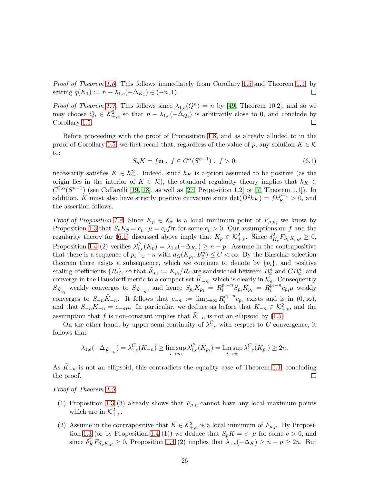Proof of Theorem [1.6.](#page-7-1) This follows immediately from Corollary [1.5](#page-6-2) and Theorem [1.1,](#page-3-0) by  $\Box$ setting  $q(K_1) := n - \lambda_{1,e}(-\Delta_{K_1}) \in (-n,1)$ .

*Proof of Theorem [1.7.](#page-7-2)* This follows since  $\lambda_{1,e}(Q^n) = n$  by [\[49,](#page-29-8) Theorem 10.2], and so we may choose  $Q_i \in \mathcal{K}^2_{+,e}$  so that  $n - \lambda_{1,e}(-\Delta_{Q_i})$  is arbitrarily close to 0, and conclude by Corollary [1.5.](#page-6-2)  $\Box$ 

Before proceeding with the proof of Proposition [1.8,](#page-7-3) and as already alluded to in the proof of Corollary [1.5,](#page-6-2) we first recall that, regardless of the value of p, any solution  $K \in \mathcal{K}$ to:

<span id="page-25-0"></span>
$$
S_p K = f \mathfrak{m} \ , \ f \in C^{\alpha} (S^{n-1}) \ , \ f > 0, \tag{6.1}
$$

necessarily satisfies  $K \in \mathcal{K}^2_+$ . Indeed, since  $h_K$  is a-priori assumed to be positive (as the origin lies in the interior of  $K \in \mathcal{K}$ , the standard regularity theory implies that  $h_K \in$  $C^{2,\alpha}(S^{n-1})$  (see Caffarelli [\[19,](#page-28-5) [18\]](#page-28-4), as well as [\[27,](#page-28-7) Proposition 1.2] or [\[7,](#page-27-4) Theorem 1.1]). In addition, K must also have strictly positive curvature since  $\det(D^2 h_K) = f h_K^{p-1} > 0$ , and the assertion follows.

*Proof of Proposition [1.8.](#page-7-3)* Since  $K_p \in \mathcal{K}_e$  is a local minimum point of  $F_{\mu,p}$ , we know by Proposition [1.3](#page-6-0) that  $S_p K_p = c_p \cdot \mu = c_p f \mathfrak{m}$  for some  $c_p > 0$ . Our assumptions on f and the regularity theory for [\(6.1\)](#page-25-0) discussed above imply that  $K_p \in \mathcal{K}^2_{+,e}$ . Since  $\delta^2_{K_p} F_{S_p K_p, p} \geq 0$ , Proposition [1.4](#page-6-1) (2) verifies  $\lambda_{1,e}^C(K_p) = \lambda_{1,e}(-\Delta_{K_p}) \geq n-p$ . Assume in the contrapositive that there is a sequence of  $p_i \searrow -n$  with  $d_G(K_{p_i}, B_2^n) \leq C < \infty$ . By the Blaschke selection theorem there exists a subsequence, which we continue to denote by  $\{p_i\}$ , and positive scaling coefficients  $\{R_i\}$ , so that  $\tilde{K}_{p_i} := K_{p_i}/R_i$  are sandwiched between  $B_2^n$  and  $CB_2^n$ , and converge in the Hausdorff metric to a compact set  $\tilde{K}_{-n}$ , which is clearly in  $\mathcal{K}_{e}$ . Consequently  $S_{\tilde{K}_{p_i}}$  weakly converges to  $S_{\tilde{K}_{-n}}$ , and hence  $S_{p_i} \tilde{K}_{p_i} = R_i^{p_i - n} S_{p_i} K_{p_i} = R_i^{p_i - n} c_{p_i} \mu$  weakly converges to  $S_{-n}\tilde{K}_{-n}$ . It follows that  $c_{-n} := \lim_{i \to \infty} R_i^{p_i - n} c_{p_i}$  exists and is in  $(0, \infty)$ , and that  $S_{-n}\tilde{K}_{-n} = c_{-n}\mu$ . In particular, we deduce as before that  $\tilde{K}_{-n} \in \mathcal{K}^2_{+,e}$ , and the assumption that f is non-constant implies that  $\tilde{K}_{-n}$  is not an ellipsoid by [\(1.5\)](#page-7-0).

On the other hand, by upper semi-continuity of  $\lambda_{1,e}^C$  with respect to C-convergence, it follows that

$$
\lambda_{1,e}(-\Delta_{\tilde{K}_{-n}})=\lambda_{1,e}^C(\tilde{K}_{-n})\geq \limsup_{i\to\infty}\lambda_{1,e}^C(\tilde{K}_{p_i})=\limsup_{i\to\infty}\lambda_{1,e}^C(K_{p_i})\geq 2n.
$$

As  $K_{-n}$  is not an ellipsoid, this contradicts the equality case of Theorem [1.1,](#page-3-0) concluding the proof.  $\Box$ 

Proof of Theorem [1.9.](#page-8-0)

- (1) Proposition [1.3](#page-6-0) (3) already shows that  $F_{\mu,p}$  cannot have any local maximum points which are in  $\mathcal{K}^2_{+,e}$ .
- (2) Assume in the contrapositive that  $K \in \mathcal{K}^2_{+,e}$  is a local minimum of  $F_{\mu,p}$ . By Proposi-tion [1.3](#page-6-0) (or by Proposition [1.4](#page-6-1) (1)) we deduce that  $S_pK = c \cdot \mu$  for some  $c > 0$ , and since  $\delta_K^2 F_{S_p K,p} \geq 0$ , Proposition [1.4](#page-6-1) (2) implies that  $\lambda_{1,e}(-\Delta_K) \geq n-p \geq 2n$ . But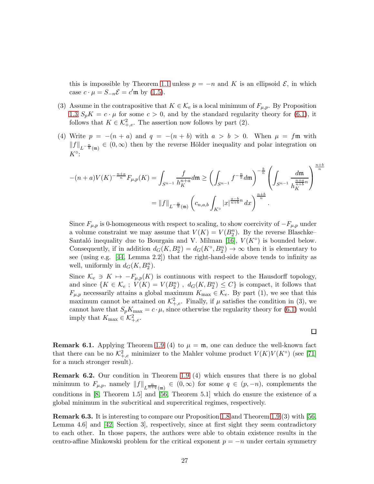this is impossible by Theorem [1.1](#page-3-0) unless  $p = -n$  and K is an ellipsoid  $\mathcal{E}$ , in which case  $c \cdot \mu = S_{-n} \mathcal{E} = c' \mathfrak{m}$  by [\(1.5\)](#page-7-0).

- (3) Assume in the contrapositive that  $K \in \mathcal{K}_e$  is a local minimum of  $F_{\mu,p}$ . By Proposition [1.3](#page-6-0)  $S_pK = c \cdot \mu$  for some  $c > 0$ , and by the standard regularity theory for [\(6.1\)](#page-25-0), it follows that  $K \in \mathcal{K}^2_{+,e}$ . The assertion now follows by part (2).
- (4) Write  $p = -(n + a)$  and  $q = -(n + b)$  with  $a > b > 0$ . When  $\mu = f \mathfrak{m}$  with  $||f||_{L^{-\frac{n}{b}}(\mathfrak{m})} \in (0,\infty)$  then by the reverse Hölder inequality and polar integration on  $K^{\circ}$ :

$$
-(n+a)V(K)^{-\frac{n+a}{n}}F_{\mu,p}(K) = \int_{S^{n-1}} \frac{f}{h_K^{n+a}} d\mathfrak{m} \ge \left(\int_{S^{n-1}} f^{-\frac{n}{b}} d\mathfrak{m}\right)^{-\frac{b}{n}} \left(\int_{S^{n-1}} \frac{d\mathfrak{m}}{h_K^{\frac{n+a}{n+b}}n}\right)^{\frac{n+b}{n}}
$$

$$
= ||f||_{L^{-\frac{n}{b}}(\mathfrak{m})} \left(c_{n,a,b} \int_{K^{\circ}} |x|^{\frac{a-b}{n+b}} dx\right)^{\frac{n+b}{n}}.
$$

Since  $F_{\mu,p}$  is 0-homogeneous with respect to scaling, to show coercivity of  $-F_{\mu,p}$  under a volume constraint we may assume that  $V(K) = V(B_2^n)$ . By the reverse Blaschke– Santaló inequality due to Bourgain and V. Milman [\[16\]](#page-27-15),  $V(K^{\circ})$  is bounded below. Consequently, if in addition  $d_G(K, B_2^n) = d_G(K^{\circ}, B_2^n) \to \infty$  then it is elementary to see (using e.g. [\[44,](#page-29-20) Lemma 2.2]) that the right-hand-side above tends to infinity as well, uniformly in  $d_G(K, B_2^n)$ .

Since  $\mathcal{K}_e \ni K \mapsto -F_{\mu,p}(K)$  is continuous with respect to the Hausdorff topology, and since  $\{K \in \mathcal{K}_e$ ;  $V(K) = V(B_2^n)$ ,  $d_G(K, B_2^n) \leq C\}$  is compact, it follows that  $F_{\mu,p}$  necessarily attains a global maximum  $K_{\text{max}} \in \mathcal{K}_e$ . By part (1), we see that this maximum cannot be attained on  $\mathcal{K}^2_{+,e}$ . Finally, if  $\mu$  satisfies the condition in (3), we cannot have that  $S_p K_{\text{max}} = c \cdot \mu$ , since otherwise the regularity theory for [\(6.1\)](#page-25-0) would imply that  $K_{\text{max}} \in \mathcal{K}^2_{+,e}.$ 

**Remark 6.1.** Applying Theorem [1.9](#page-8-0) (4) to  $\mu = \mathfrak{m}$ , one can deduce the well-known fact that there can be no  $\mathcal{K}^2_{+,e}$  minimizer to the Mahler volume product  $V(K)V(K^{\circ})$  (see [\[71\]](#page-30-19) for a much stronger result).

Remark 6.2. Our condition in Theorem [1.9](#page-8-0) (4) which ensures that there is no global minimum to  $F_{\mu,p}$ , namely  $||f||_{L^{\frac{n}{n+q}}(\mathfrak{m})} \in (0,\infty)$  for some  $q \in (p,-n)$ , complements the conditions in [\[8,](#page-27-5) Theorem 1.5] and [\[56,](#page-29-6) Theorem 5.1] which do ensure the existence of a global minimum in the subcritical and supercritical regimes, respectively.

<span id="page-26-0"></span>Remark 6.3. It is interesting to compare our Proposition [1.8](#page-7-3) and Theorem [1.9](#page-8-0) (3) with [\[56,](#page-29-6) Lemma 4.6] and [\[42,](#page-29-5) Section 3], respectively, since at first sight they seem contradictory to each other. In those papers, the authors were able to obtain existence results in the centro-affine Minkowski problem for the critical exponent  $p = -n$  under certain symmetry

 $\Box$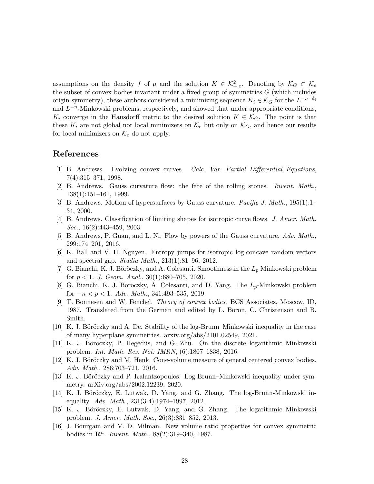assumptions on the density f of  $\mu$  and the solution  $K \in \mathcal{K}^2_{+,e}$ . Denoting by  $\mathcal{K}_G \subset \mathcal{K}_e$ the subset of convex bodies invariant under a fixed group of symmetries  $G$  (which includes origin-symmetry), these authors considered a minimizing sequence  $K_i \in \mathcal{K}_G$  for the  $L^{-n+\delta_i}$ and  $L^{-n}$ -Minkowski problems, respectively, and showed that under appropriate conditions,  $K_i$  converge in the Hausdorff metric to the desired solution  $K \in \mathcal{K}_G$ . The point is that these  $K_i$  are not global nor local minimizers on  $\mathcal{K}_e$  but only on  $\mathcal{K}_G$ , and hence our results for local minimizers on  $\mathcal{K}_e$  do not apply.

## <span id="page-27-0"></span>References

- <span id="page-27-1"></span>[1] B. Andrews. Evolving convex curves. Calc. Var. Partial Differential Equations, 7(4):315–371, 1998.
- <span id="page-27-2"></span>[2] B. Andrews. Gauss curvature flow: the fate of the rolling stones. Invent. Math., 138(1):151–161, 1999.
- <span id="page-27-14"></span>[3] B. Andrews. Motion of hypersurfaces by Gauss curvature. Pacific J. Math., 195(1):1– 34, 2000.
- <span id="page-27-3"></span>[4] B. Andrews. Classification of limiting shapes for isotropic curve flows. J. Amer. Math. Soc., 16(2):443–459, 2003.
- <span id="page-27-13"></span>[5] B. Andrews, P. Guan, and L. Ni. Flow by powers of the Gauss curvature. Adv. Math., 299:174–201, 2016.
- <span id="page-27-4"></span>[6] K. Ball and V. H. Nguyen. Entropy jumps for isotropic log-concave random vectors and spectral gap. Studia Math., 213(1):81–96, 2012.
- <span id="page-27-5"></span>[7] G. Bianchi, K. J. Böröczky, and A. Colesanti. Smoothness in the  $L_p$  Minkowski problem for  $p < 1$ . J. Geom. Anal., 30(1):680–705, 2020.
- [8] G. Bianchi, K. J. Böröczky, A. Colesanti, and D. Yang. The  $L_p$ -Minkowski problem for  $-n < p < 1$ . Adv. Math., 341:493–535, 2019.
- <span id="page-27-12"></span>[9] T. Bonnesen and W. Fenchel. Theory of convex bodies. BCS Associates, Moscow, ID, 1987. Translated from the German and edited by L. Boron, C. Christenson and B. Smith.
- <span id="page-27-10"></span>[10] K. J. Böröczky and A. De. Stability of the log-Brunn–Minkowski inequality in the case of many hyperplane symmetries. arxiv.org/abs/2101.02549, 2021.
- <span id="page-27-6"></span>[11] K. J. Böröczky, P. Hegedüs, and G. Zhu. On the discrete logarithmic Minkowski problem. Int. Math. Res. Not. IMRN, (6):1807–1838, 2016.
- <span id="page-27-11"></span><span id="page-27-7"></span>[12] K. J. Böröczky and M. Henk. Cone-volume measure of general centered convex bodies. Adv. Math., 286:703–721, 2016.
- [13] K. J. Böröczky and P. Kalantzopoulos. Log-Brunn–Minkowski inequality under symmetry. arXiv.org/abs/2002.12239, 2020.
- <span id="page-27-9"></span>[14] K. J. Böröczky, E. Lutwak, D. Yang, and G. Zhang. The log-Brunn-Minkowski inequality. Adv. Math.,  $231(3-4):1974-1997$ ,  $2012$ .
- <span id="page-27-8"></span>[15] K. J. Böröczky, E. Lutwak, D. Yang, and G. Zhang. The logarithmic Minkowski problem. J. Amer. Math. Soc., 26(3):831–852, 2013.
- <span id="page-27-15"></span>[16] J. Bourgain and V. D. Milman. New volume ratio properties for convex symmetric bodies in  $\mathbb{R}^n$ . Invent. Math., 88(2):319-340, 1987.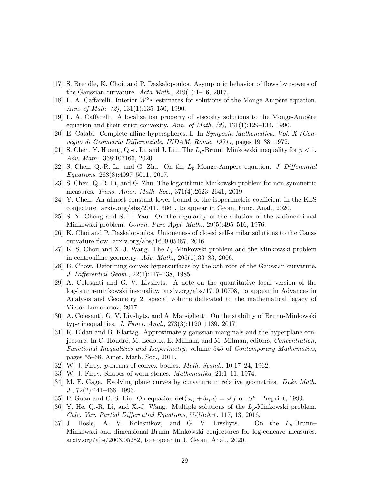- <span id="page-28-0"></span>[17] S. Brendle, K. Choi, and P. Daskalopoulos. Asymptotic behavior of flows by powers of the Gaussian curvature. Acta Math.,  $219(1):1-16$ ,  $2017$ .
- <span id="page-28-5"></span><span id="page-28-4"></span>[18] L. A. Caffarelli. Interior  $W^{2,p}$  estimates for solutions of the Monge-Ampère equation. Ann. of Math. (2), 131(1):135–150, 1990.
- <span id="page-28-20"></span>[19] L. A. Caffarelli. A localization property of viscosity solutions to the Monge-Ampère equation and their strict convexity. Ann. of Math.  $(2)$ , 131(1):129–134, 1990.
- <span id="page-28-9"></span>[20] E. Calabi. Complete affine hyperspheres. I. In Symposia Mathematica, Vol. X (Convegno di Geometria Differenziale, INDAM, Rome, 1971), pages 19–38. 1972.
- <span id="page-28-10"></span>[21] S. Chen, Y. Huang, Q.-r. Li, and J. Liu. The  $L_p$ -Brunn–Minkowski inequality for  $p < 1$ . Adv. Math., 368:107166, 2020.
- [22] S. Chen, Q.-R. Li, and G. Zhu. On the  $L_p$  Monge-Ampère equation. *J. Differential* Equations, 263(8):4997–5011, 2017.
- <span id="page-28-18"></span><span id="page-28-11"></span>[23] S. Chen, Q.-R. Li, and G. Zhu. The logarithmic Minkowski problem for non-symmetric measures. Trans. Amer. Math. Soc., 371(4):2623–2641, 2019.
- <span id="page-28-3"></span>[24] Y. Chen. An almost constant lower bound of the isoperimetric coefficient in the KLS conjecture. arxiv.org/abs/2011.13661, to appear in Geom. Func. Anal., 2020.
- <span id="page-28-1"></span>[25] S. Y. Cheng and S. T. Yau. On the regularity of the solution of the n-dimensional Minkowski problem. Comm. Pure Appl. Math., 29(5):495–516, 1976.
- [26] K. Choi and P. Daskalopoulos. Uniqueness of closed self-similar solutions to the Gauss curvature flow. arxiv.org/abs/1609.05487, 2016.
- <span id="page-28-7"></span><span id="page-28-2"></span>[27] K.-S. Chou and X.-J. Wang. The  $L_p$ -Minkowski problem and the Minkowski problem in centroaffine geometry. Adv. Math., 205(1):33–83, 2006.
- [28] B. Chow. Deforming convex hypersurfaces by the nth root of the Gaussian curvature. J. Differential Geom., 22(1):117–138, 1985.
- <span id="page-28-15"></span>[29] A. Colesanti and G. V. Livshyts. A note on the quantitative local version of the log-brunn-minkowski inequality. arxiv.org/abs/1710.10708, to appear in Advances in Analysis and Geometry 2, special volume dedicated to the mathematical legacy of Victor Lomonosov, 2017.
- <span id="page-28-16"></span>[30] A. Colesanti, G. V. Livshyts, and A. Marsiglietti. On the stability of Brunn-Minkowski type inequalities. J. Funct. Anal., 273(3):1120–1139, 2017.
- <span id="page-28-19"></span>[31] R. Eldan and B. Klartag. Approximately gaussian marginals and the hyperplane conjecture. In C. Houdré, M. Ledoux, E. Milman, and M. Milman, editors, *Concentration*, Functional Inequalities and Isoperimetry, volume 545 of Contemporary Mathematics, pages 55–68. Amer. Math. Soc., 2011.
- <span id="page-28-13"></span><span id="page-28-6"></span>[32] W. J. Firey. p-means of convex bodies. Math. Scand., 10:17–24, 1962.
- <span id="page-28-14"></span>[33] W. J. Firey. Shapes of worn stones. Mathematika, 21:1–11, 1974.
- [34] M. E. Gage. Evolving plane curves by curvature in relative geometries. Duke Math. J., 72(2):441–466, 1993.
- <span id="page-28-12"></span><span id="page-28-8"></span>[35] P. Guan and C.-S. Lin. On equation  $\det(u_{ij} + \delta_{ij}u) = u^p f$  on  $S^n$ . Preprint, 1999.
- [36] Y. He, Q.-R. Li, and X.-J. Wang. Multiple solutions of the  $L_p$ -Minkowski problem. Calc. Var. Partial Differential Equations, 55(5):Art. 117, 13, 2016.
- <span id="page-28-17"></span>[37] J. Hosle, A. V. Kolesnikov, and G. V. Livshyts. On the  $L_p$ -Brunn– Minkowski and dimensional Brunn–Minkowski conjectures for log-concave measures. arxiv.org/abs/2003.05282, to appear in J. Geom. Anal., 2020.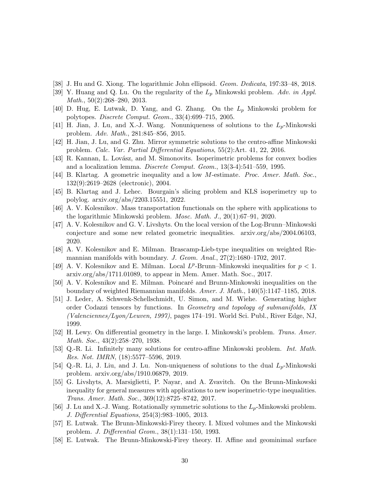- <span id="page-29-14"></span><span id="page-29-3"></span>[38] J. Hu and G. Xiong. The logarithmic John ellipsoid. Geom. Dedicata, 197:33–48, 2018.
- <span id="page-29-4"></span>[39] Y. Huang and Q. Lu. On the regularity of the  $L_p$  Minkowski problem. Adv. in Appl. Math., 50(2):268–280, 2013.
- <span id="page-29-15"></span>[40] D. Hug, E. Lutwak, D. Yang, and G. Zhang. On the  $L_p$  Minkowski problem for polytopes. Discrete Comput. Geom., 33(4):699–715, 2005.
- <span id="page-29-5"></span>[41] H. Jian, J. Lu, and X.-J. Wang. Nonuniqueness of solutions to the  $L_p$ -Minkowski problem. Adv. Math., 281:845–856, 2015.
- <span id="page-29-13"></span>[42] H. Jian, J. Lu, and G. Zhu. Mirror symmetric solutions to the centro-affine Minkowski problem. Calc. Var. Partial Differential Equations, 55(2):Art. 41, 22, 2016.
- <span id="page-29-20"></span>[43] R. Kannan, L. Lovász, and M. Simonovits. Isoperimetric problems for convex bodies and a localization lemma. Discrete Comput. Geom., 13(3-4):541–559, 1995.
- <span id="page-29-11"></span>[44] B. Klartag. A geometric inequality and a low M-estimate. Proc. Amer. Math. Soc., 132(9):2619–2628 (electronic), 2004.
- <span id="page-29-7"></span>[45] B. Klartag and J. Lehec. Bourgain's slicing problem and KLS isoperimetry up to polylog. arxiv.org/abs/2203.15551, 2022.
- <span id="page-29-9"></span>[46] A. V. Kolesnikov. Mass transportation functionals on the sphere with applications to the logarithmic Minkowski problem. Mosc. Math. J., 20(1):67–91, 2020.
- [47] A. V. Kolesnikov and G. V. Livshyts. On the local version of the Log-Brunn–Minkowski conjecture and some new related geometric inequalities. arxiv.org/abs/2004.06103, 2020.
- <span id="page-29-18"></span>[48] A. V. Kolesnikov and E. Milman. Brascamp-Lieb-type inequalities on weighted Riemannian manifolds with boundary. J. Geom. Anal.,  $27(2)$ :1680–1702, 2017.
- <span id="page-29-8"></span>[49] A. V. Kolesnikov and E. Milman. Local  $L^p$ -Brunn–Minkowski inequalities for  $p < 1$ . arxiv.org/abs/1711.01089, to appear in Mem. Amer. Math. Soc., 2017.
- <span id="page-29-19"></span>[50] A. V. Kolesnikov and E. Milman. Poincaré and Brunn-Minkowski inequalities on the boundary of weighted Riemannian manifolds. Amer. J. Math., 140(5):1147–1185, 2018.
- <span id="page-29-12"></span>[51] J. Leder, A. Schwenk-Schellschmidt, U. Simon, and M. Wiehe. Generating higher order Codazzi tensors by functions. In Geometry and topology of submanifolds, IX (Valenciennes/Lyon/Leuven, 1997), pages 174–191. World Sci. Publ., River Edge, NJ, 1999.
- <span id="page-29-0"></span>[52] H. Lewy. On differential geometry in the large. I. Minkowski's problem. Trans. Amer. Math. Soc., 43(2):258–270, 1938.
- <span id="page-29-16"></span>[53] Q.-R. Li. Infinitely many solutions for centro-affine Minkowski problem. Int. Math. Res. Not. IMRN, (18):5577–5596, 2019.
- <span id="page-29-17"></span>[54] Q.-R. Li, J. Liu, and J. Lu. Non-uniqueness of solutions to the dual  $L_p$ -Minkowski problem. arxiv.org/abs/1910.06879, 2019.
- <span id="page-29-10"></span>[55] G. Livshyts, A. Marsiglietti, P. Nayar, and A. Zvavitch. On the Brunn-Minkowski inequality for general measures with applications to new isoperimetric-type inequalities. Trans. Amer. Math. Soc., 369(12):8725–8742, 2017.
- <span id="page-29-6"></span>[56] J. Lu and X.-J. Wang. Rotationally symmetric solutions to the  $L_p$ -Minkowski problem. J. Differential Equations, 254(3):983–1005, 2013.
- <span id="page-29-1"></span>[57] E. Lutwak. The Brunn-Minkowski-Firey theory. I. Mixed volumes and the Minkowski problem. J. Differential Geom., 38(1):131–150, 1993.
- <span id="page-29-2"></span>[58] E. Lutwak. The Brunn-Minkowski-Firey theory. II. Affine and geominimal surface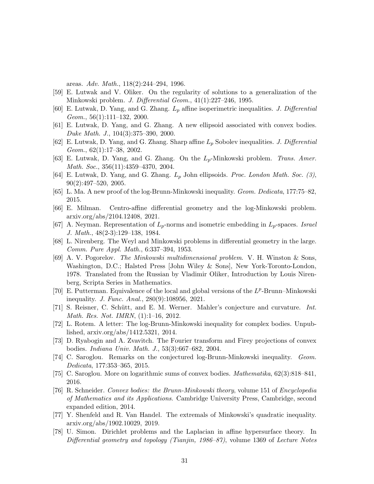areas. Adv. Math., 118(2):244–294, 1996.

- <span id="page-30-7"></span><span id="page-30-4"></span>[59] E. Lutwak and V. Oliker. On the regularity of solutions to a generalization of the Minkowski problem. J. Differential Geom., 41(1):227–246, 1995.
- <span id="page-30-15"></span>[60] E. Lutwak, D. Yang, and G. Zhang.  $L_p$  affine isoperimetric inequalities. J. Differential  $Geom., 56(1):111-132, 2000.$
- <span id="page-30-5"></span>[61] E. Lutwak, D. Yang, and G. Zhang. A new ellipsoid associated with convex bodies. Duke Math. J., 104(3):375–390, 2000.
- <span id="page-30-3"></span>[62] E. Lutwak, D. Yang, and G. Zhang. Sharp affine  $L_p$  Sobolev inequalities. J. Differential  $Geom., 62(1):17–38, 2002.$
- <span id="page-30-6"></span>[63] E. Lutwak, D. Yang, and G. Zhang. On the  $L_p$ -Minkowski problem. Trans. Amer. Math. Soc., 356(11):4359–4370, 2004.
- <span id="page-30-8"></span>[64] E. Lutwak, D. Yang, and G. Zhang.  $L_p$  John ellipsoids. Proc. London Math. Soc. (3), 90(2):497–520, 2005.
- <span id="page-30-13"></span>[65] L. Ma. A new proof of the log-Brunn-Minkowski inequality. Geom. Dedicata, 177:75–82, 2015.
- <span id="page-30-16"></span>[66] E. Milman. Centro-affine differential geometry and the log-Minkowski problem. arxiv.org/abs/2104.12408, 2021.
- <span id="page-30-1"></span>[67] A. Neyman. Representation of  $L_p$ -norms and isometric embedding in  $L_p$ -spaces. Israel J. Math., 48(2-3):129–138, 1984.
- <span id="page-30-2"></span>[68] L. Nirenberg. The Weyl and Minkowski problems in differential geometry in the large. Comm. Pure Appl. Math., 6:337–394, 1953.
- [69] A. V. Pogorelov. The Minkowski multidimensional problem. V. H. Winston & Sons, Washington, D.C.; Halsted Press [John Wiley & Sons], New York-Toronto-London, 1978. Translated from the Russian by Vladimir Oliker, Introduction by Louis Nirenberg, Scripta Series in Mathematics.
- <span id="page-30-9"></span>[70] E. Putterman. Equivalence of the local and global versions of the  $L^p$ -Brunn–Minkowski inequality. J. Func. Anal., 280(9):108956, 2021.
- <span id="page-30-19"></span>[71] S. Reisner, C. Schütt, and E. M. Werner. Mahler's conjecture and curvature. Int. Math. Res. Not. IMRN, (1):1–16, 2012.
- <span id="page-30-17"></span><span id="page-30-10"></span>[72] L. Rotem. A letter: The log-Brunn-Minkowski inequality for complex bodies. Unpublished, arxiv.org/abs/1412.5321, 2014.
- <span id="page-30-11"></span>[73] D. Ryabogin and A. Zvavitch. The Fourier transform and Firey projections of convex bodies. Indiana Univ. Math. J., 53(3):667–682, 2004.
- <span id="page-30-12"></span>[74] C. Saroglou. Remarks on the conjectured log-Brunn-Minkowski inequality. Geom. Dedicata, 177:353–365, 2015.
- <span id="page-30-0"></span>[75] C. Saroglou. More on logarithmic sums of convex bodies. Mathematika, 62(3):818–841, 2016.
- [76] R. Schneider. Convex bodies: the Brunn-Minkowski theory, volume 151 of Encyclopedia of Mathematics and its Applications. Cambridge University Press, Cambridge, second expanded edition, 2014.
- <span id="page-30-18"></span>[77] Y. Shenfeld and R. Van Handel. The extremals of Minkowski's quadratic inequality. arxiv.org/abs/1902.10029, 2019.
- <span id="page-30-14"></span>[78] U. Simon. Dirichlet problems and the Laplacian in affine hypersurface theory. In Differential geometry and topology (Tianjin, 1986–87), volume 1369 of Lecture Notes